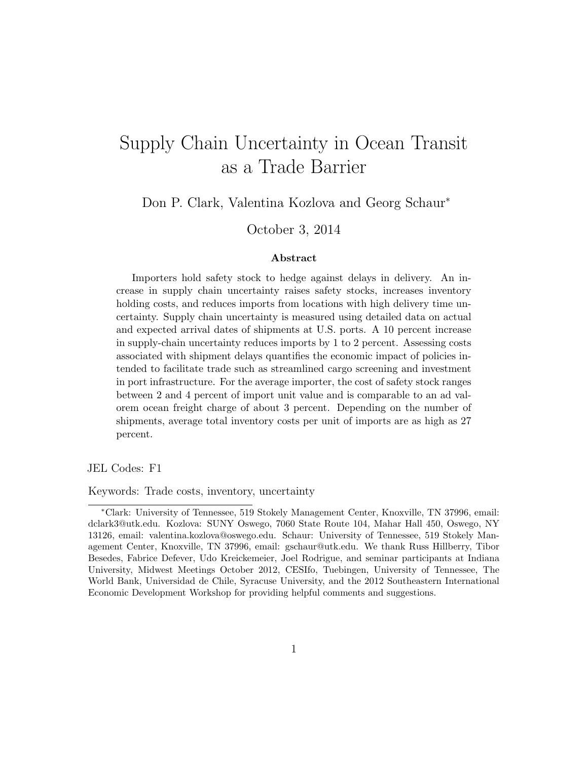# Supply Chain Uncertainty in Ocean Transit as a Trade Barrier

Don P. Clark, Valentina Kozlova and Georg Schaur<sup>∗</sup>

October 3, 2014

#### Abstract

Importers hold safety stock to hedge against delays in delivery. An increase in supply chain uncertainty raises safety stocks, increases inventory holding costs, and reduces imports from locations with high delivery time uncertainty. Supply chain uncertainty is measured using detailed data on actual and expected arrival dates of shipments at U.S. ports. A 10 percent increase in supply-chain uncertainty reduces imports by 1 to 2 percent. Assessing costs associated with shipment delays quantifies the economic impact of policies intended to facilitate trade such as streamlined cargo screening and investment in port infrastructure. For the average importer, the cost of safety stock ranges between 2 and 4 percent of import unit value and is comparable to an ad valorem ocean freight charge of about 3 percent. Depending on the number of shipments, average total inventory costs per unit of imports are as high as 27 percent.

JEL Codes: F1

Keywords: Trade costs, inventory, uncertainty

<sup>∗</sup>Clark: University of Tennessee, 519 Stokely Management Center, Knoxville, TN 37996, email: dclark3@utk.edu. Kozlova: SUNY Oswego, 7060 State Route 104, Mahar Hall 450, Oswego, NY 13126, email: valentina.kozlova@oswego.edu. Schaur: University of Tennessee, 519 Stokely Management Center, Knoxville, TN 37996, email: gschaur@utk.edu. We thank Russ Hillberry, Tibor Besedes, Fabrice Defever, Udo Kreickemeier, Joel Rodrigue, and seminar participants at Indiana University, Midwest Meetings October 2012, CESIfo, Tuebingen, University of Tennessee, The World Bank, Universidad de Chile, Syracuse University, and the 2012 Southeastern International Economic Development Workshop for providing helpful comments and suggestions.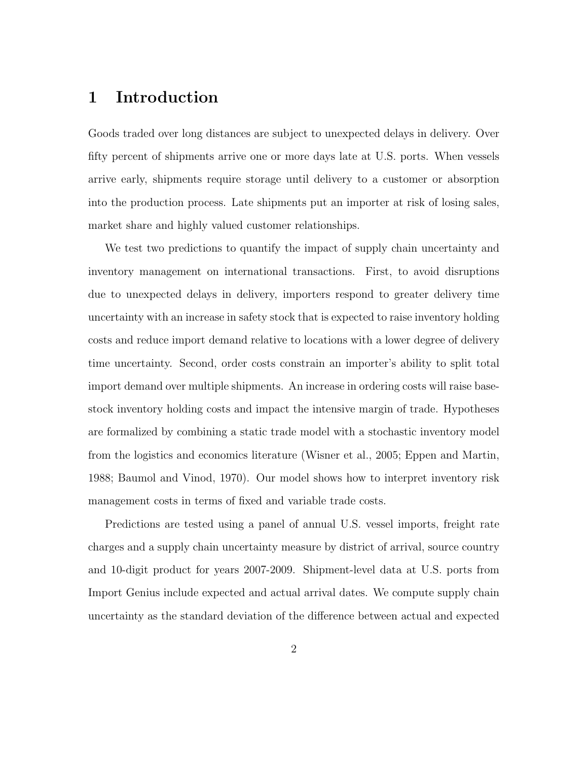## 1 Introduction

Goods traded over long distances are subject to unexpected delays in delivery. Over fifty percent of shipments arrive one or more days late at U.S. ports. When vessels arrive early, shipments require storage until delivery to a customer or absorption into the production process. Late shipments put an importer at risk of losing sales, market share and highly valued customer relationships.

We test two predictions to quantify the impact of supply chain uncertainty and inventory management on international transactions. First, to avoid disruptions due to unexpected delays in delivery, importers respond to greater delivery time uncertainty with an increase in safety stock that is expected to raise inventory holding costs and reduce import demand relative to locations with a lower degree of delivery time uncertainty. Second, order costs constrain an importer's ability to split total import demand over multiple shipments. An increase in ordering costs will raise basestock inventory holding costs and impact the intensive margin of trade. Hypotheses are formalized by combining a static trade model with a stochastic inventory model from the logistics and economics literature (Wisner et al., 2005; Eppen and Martin, 1988; Baumol and Vinod, 1970). Our model shows how to interpret inventory risk management costs in terms of fixed and variable trade costs.

Predictions are tested using a panel of annual U.S. vessel imports, freight rate charges and a supply chain uncertainty measure by district of arrival, source country and 10-digit product for years 2007-2009. Shipment-level data at U.S. ports from Import Genius include expected and actual arrival dates. We compute supply chain uncertainty as the standard deviation of the difference between actual and expected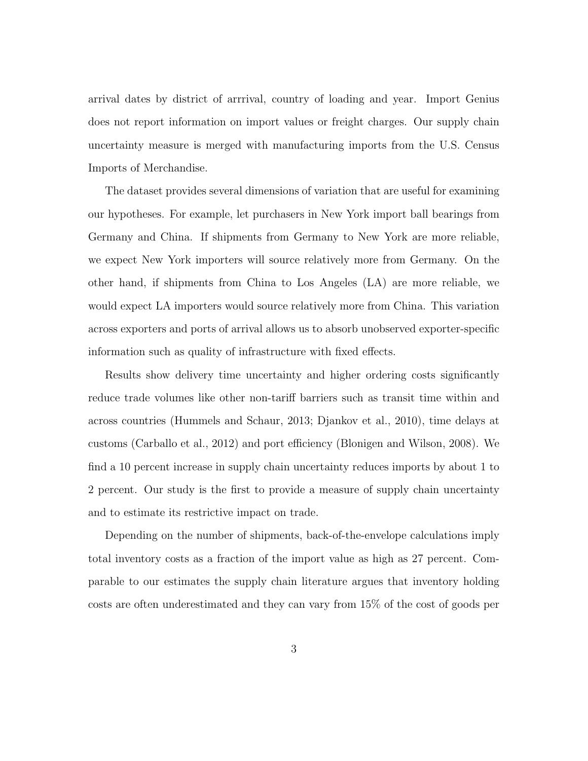arrival dates by district of arrrival, country of loading and year. Import Genius does not report information on import values or freight charges. Our supply chain uncertainty measure is merged with manufacturing imports from the U.S. Census Imports of Merchandise.

The dataset provides several dimensions of variation that are useful for examining our hypotheses. For example, let purchasers in New York import ball bearings from Germany and China. If shipments from Germany to New York are more reliable, we expect New York importers will source relatively more from Germany. On the other hand, if shipments from China to Los Angeles (LA) are more reliable, we would expect LA importers would source relatively more from China. This variation across exporters and ports of arrival allows us to absorb unobserved exporter-specific information such as quality of infrastructure with fixed effects.

Results show delivery time uncertainty and higher ordering costs significantly reduce trade volumes like other non-tariff barriers such as transit time within and across countries (Hummels and Schaur, 2013; Djankov et al., 2010), time delays at customs (Carballo et al., 2012) and port efficiency (Blonigen and Wilson, 2008). We find a 10 percent increase in supply chain uncertainty reduces imports by about 1 to 2 percent. Our study is the first to provide a measure of supply chain uncertainty and to estimate its restrictive impact on trade.

Depending on the number of shipments, back-of-the-envelope calculations imply total inventory costs as a fraction of the import value as high as 27 percent. Comparable to our estimates the supply chain literature argues that inventory holding costs are often underestimated and they can vary from 15% of the cost of goods per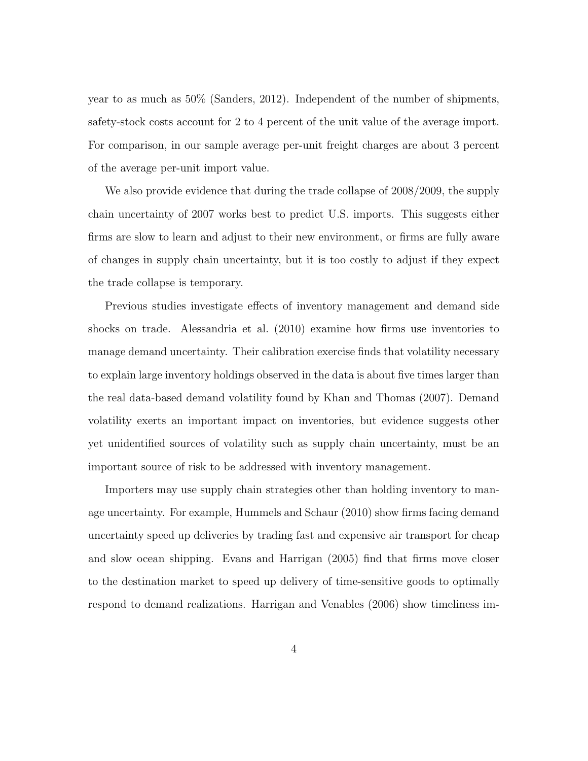year to as much as 50% (Sanders, 2012). Independent of the number of shipments, safety-stock costs account for 2 to 4 percent of the unit value of the average import. For comparison, in our sample average per-unit freight charges are about 3 percent of the average per-unit import value.

We also provide evidence that during the trade collapse of 2008/2009, the supply chain uncertainty of 2007 works best to predict U.S. imports. This suggests either firms are slow to learn and adjust to their new environment, or firms are fully aware of changes in supply chain uncertainty, but it is too costly to adjust if they expect the trade collapse is temporary.

Previous studies investigate effects of inventory management and demand side shocks on trade. Alessandria et al. (2010) examine how firms use inventories to manage demand uncertainty. Their calibration exercise finds that volatility necessary to explain large inventory holdings observed in the data is about five times larger than the real data-based demand volatility found by Khan and Thomas (2007). Demand volatility exerts an important impact on inventories, but evidence suggests other yet unidentified sources of volatility such as supply chain uncertainty, must be an important source of risk to be addressed with inventory management.

Importers may use supply chain strategies other than holding inventory to manage uncertainty. For example, Hummels and Schaur (2010) show firms facing demand uncertainty speed up deliveries by trading fast and expensive air transport for cheap and slow ocean shipping. Evans and Harrigan (2005) find that firms move closer to the destination market to speed up delivery of time-sensitive goods to optimally respond to demand realizations. Harrigan and Venables (2006) show timeliness im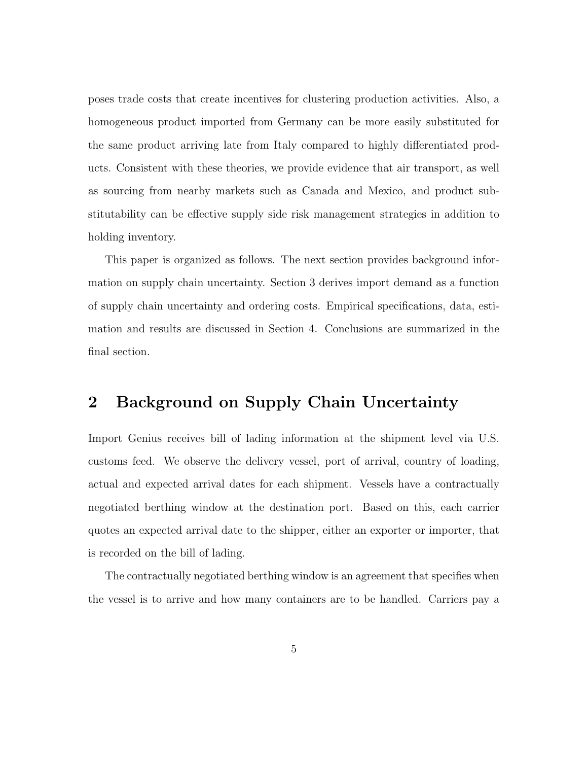poses trade costs that create incentives for clustering production activities. Also, a homogeneous product imported from Germany can be more easily substituted for the same product arriving late from Italy compared to highly differentiated products. Consistent with these theories, we provide evidence that air transport, as well as sourcing from nearby markets such as Canada and Mexico, and product substitutability can be effective supply side risk management strategies in addition to holding inventory.

This paper is organized as follows. The next section provides background information on supply chain uncertainty. Section 3 derives import demand as a function of supply chain uncertainty and ordering costs. Empirical specifications, data, estimation and results are discussed in Section 4. Conclusions are summarized in the final section.

## 2 Background on Supply Chain Uncertainty

Import Genius receives bill of lading information at the shipment level via U.S. customs feed. We observe the delivery vessel, port of arrival, country of loading, actual and expected arrival dates for each shipment. Vessels have a contractually negotiated berthing window at the destination port. Based on this, each carrier quotes an expected arrival date to the shipper, either an exporter or importer, that is recorded on the bill of lading.

The contractually negotiated berthing window is an agreement that specifies when the vessel is to arrive and how many containers are to be handled. Carriers pay a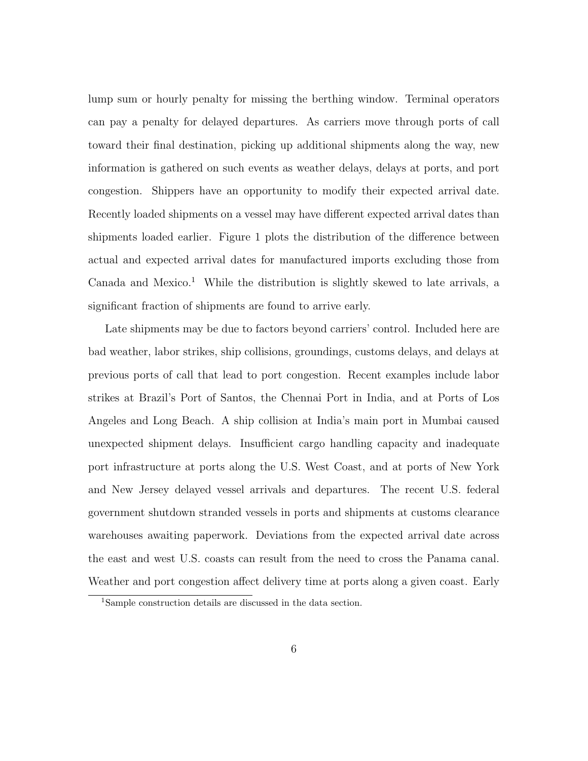lump sum or hourly penalty for missing the berthing window. Terminal operators can pay a penalty for delayed departures. As carriers move through ports of call toward their final destination, picking up additional shipments along the way, new information is gathered on such events as weather delays, delays at ports, and port congestion. Shippers have an opportunity to modify their expected arrival date. Recently loaded shipments on a vessel may have different expected arrival dates than shipments loaded earlier. Figure 1 plots the distribution of the difference between actual and expected arrival dates for manufactured imports excluding those from Canada and Mexico.<sup>1</sup> While the distribution is slightly skewed to late arrivals, a significant fraction of shipments are found to arrive early.

Late shipments may be due to factors beyond carriers' control. Included here are bad weather, labor strikes, ship collisions, groundings, customs delays, and delays at previous ports of call that lead to port congestion. Recent examples include labor strikes at Brazil's Port of Santos, the Chennai Port in India, and at Ports of Los Angeles and Long Beach. A ship collision at India's main port in Mumbai caused unexpected shipment delays. Insufficient cargo handling capacity and inadequate port infrastructure at ports along the U.S. West Coast, and at ports of New York and New Jersey delayed vessel arrivals and departures. The recent U.S. federal government shutdown stranded vessels in ports and shipments at customs clearance warehouses awaiting paperwork. Deviations from the expected arrival date across the east and west U.S. coasts can result from the need to cross the Panama canal. Weather and port congestion affect delivery time at ports along a given coast. Early

<sup>1</sup>Sample construction details are discussed in the data section.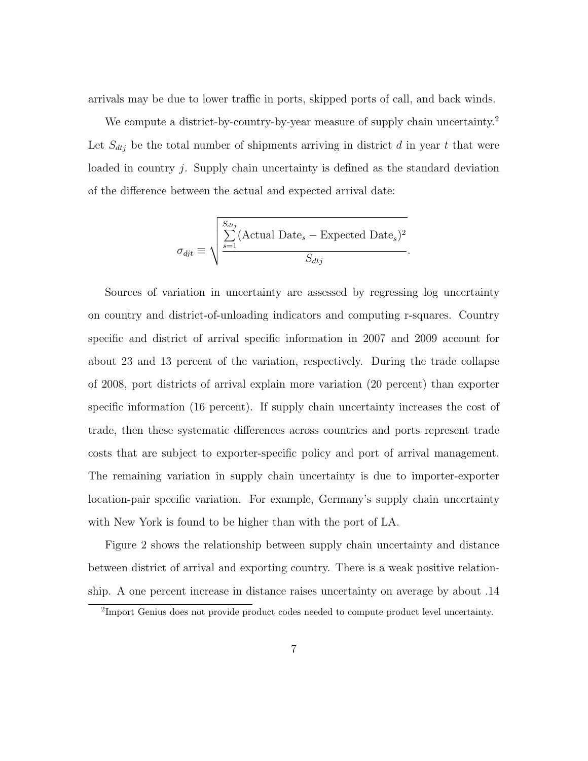arrivals may be due to lower traffic in ports, skipped ports of call, and back winds.

We compute a district-by-country-by-year measure of supply chain uncertainty.<sup>2</sup> Let  $S_{dtj}$  be the total number of shipments arriving in district d in year t that were loaded in country  $i$ . Supply chain uncertainty is defined as the standard deviation of the difference between the actual and expected arrival date:

$$
\sigma_{dif} \equiv \sqrt{\frac{\sum_{s=1}^{S_{dtj}} (\text{Actual Date}_s - \text{Expected Date}_s)^2}{S_{dtj}}}.
$$

Sources of variation in uncertainty are assessed by regressing log uncertainty on country and district-of-unloading indicators and computing r-squares. Country specific and district of arrival specific information in 2007 and 2009 account for about 23 and 13 percent of the variation, respectively. During the trade collapse of 2008, port districts of arrival explain more variation (20 percent) than exporter specific information (16 percent). If supply chain uncertainty increases the cost of trade, then these systematic differences across countries and ports represent trade costs that are subject to exporter-specific policy and port of arrival management. The remaining variation in supply chain uncertainty is due to importer-exporter location-pair specific variation. For example, Germany's supply chain uncertainty with New York is found to be higher than with the port of LA.

Figure 2 shows the relationship between supply chain uncertainty and distance between district of arrival and exporting country. There is a weak positive relationship. A one percent increase in distance raises uncertainty on average by about .14

<sup>&</sup>lt;sup>2</sup>Import Genius does not provide product codes needed to compute product level uncertainty.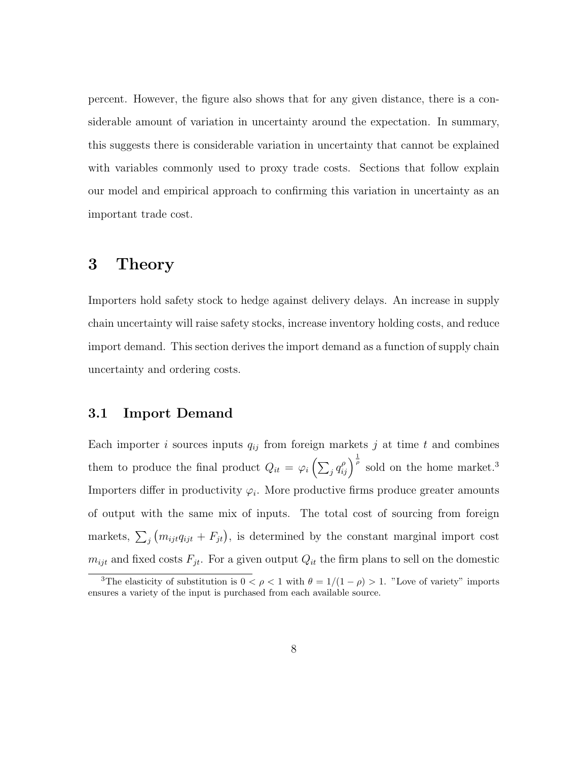percent. However, the figure also shows that for any given distance, there is a considerable amount of variation in uncertainty around the expectation. In summary, this suggests there is considerable variation in uncertainty that cannot be explained with variables commonly used to proxy trade costs. Sections that follow explain our model and empirical approach to confirming this variation in uncertainty as an important trade cost.

### 3 Theory

Importers hold safety stock to hedge against delivery delays. An increase in supply chain uncertainty will raise safety stocks, increase inventory holding costs, and reduce import demand. This section derives the import demand as a function of supply chain uncertainty and ordering costs.

#### 3.1 Import Demand

Each importer i sources inputs  $q_{ij}$  from foreign markets j at time t and combines them to produce the final product  $Q_{it} = \varphi_i \left( \sum_j q_{ij}^{\rho} \right)^{\frac{1}{\rho}}$  sold on the home market.<sup>3</sup> Importers differ in productivity  $\varphi_i$ . More productive firms produce greater amounts of output with the same mix of inputs. The total cost of sourcing from foreign markets,  $\sum_{j} (m_{ijt}q_{ijt} + F_{jt})$ , is determined by the constant marginal import cost  $m_{ijt}$  and fixed costs  $F_{jt}$ . For a given output  $Q_{it}$  the firm plans to sell on the domestic

<sup>&</sup>lt;sup>3</sup>The elasticity of substitution is  $0 < \rho < 1$  with  $\theta = 1/(1 - \rho) > 1$ . "Love of variety" imports ensures a variety of the input is purchased from each available source.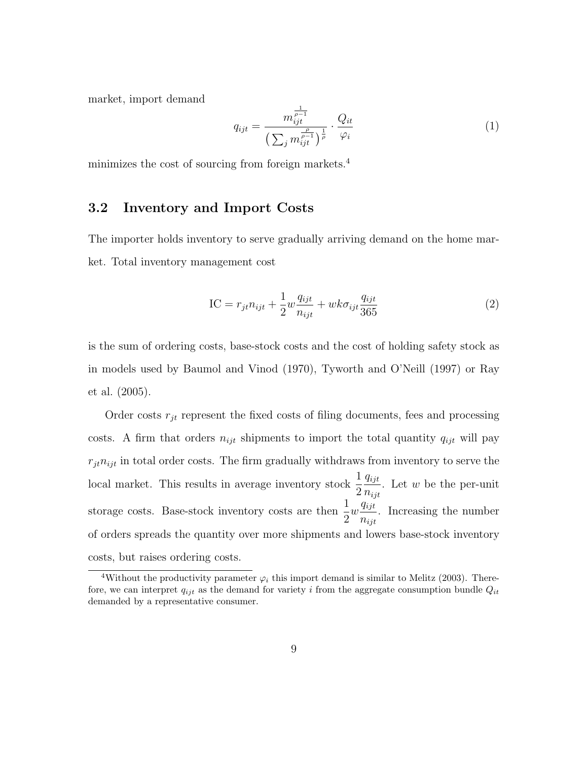market, import demand

$$
q_{ijt} = \frac{m_{ijt}^{\frac{1}{\rho-1}}}{\left(\sum_j m_{ijt}^{\frac{\rho}{\rho-1}}\right)^{\frac{1}{\rho}}} \cdot \frac{Q_{it}}{\varphi_i}
$$
(1)

minimizes the cost of sourcing from foreign markets.<sup>4</sup>

#### 3.2 Inventory and Import Costs

The importer holds inventory to serve gradually arriving demand on the home market. Total inventory management cost

$$
IC = r_{jt}n_{ijt} + \frac{1}{2}w\frac{q_{ijt}}{n_{ijt}} + wk\sigma_{ijt}\frac{q_{ijt}}{365}
$$
 (2)

is the sum of ordering costs, base-stock costs and the cost of holding safety stock as in models used by Baumol and Vinod (1970), Tyworth and O'Neill (1997) or Ray et al. (2005).

Order costs  $r_{jt}$  represent the fixed costs of filing documents, fees and processing costs. A firm that orders  $n_{ijt}$  shipments to import the total quantity  $q_{ijt}$  will pay  $r_{jt}n_{ijt}$  in total order costs. The firm gradually withdraws from inventory to serve the local market. This results in average inventory stock  $\frac{1}{2}$ 2 qijt  $n_{ijt}$ . Let  $w$  be the per-unit storage costs. Base-stock inventory costs are then  $\frac{1}{2}$ 2  $w \frac{q_{ijt}}{a}$  $n_{ijt}$ . Increasing the number of orders spreads the quantity over more shipments and lowers base-stock inventory costs, but raises ordering costs.

<sup>&</sup>lt;sup>4</sup>Without the productivity parameter  $\varphi_i$  this import demand is similar to Melitz (2003). Therefore, we can interpret  $q_{ijt}$  as the demand for variety i from the aggregate consumption bundle  $Q_{it}$ demanded by a representative consumer.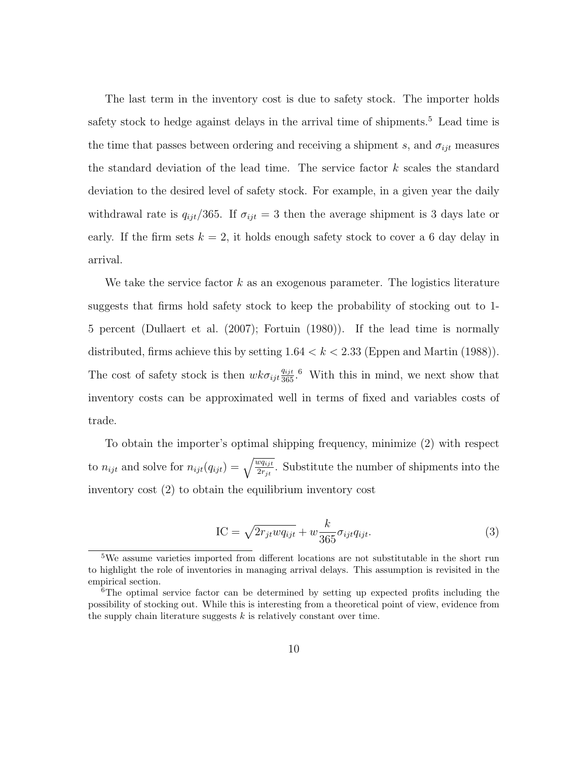The last term in the inventory cost is due to safety stock. The importer holds safety stock to hedge against delays in the arrival time of shipments.<sup>5</sup> Lead time is the time that passes between ordering and receiving a shipment s, and  $\sigma_{ijt}$  measures the standard deviation of the lead time. The service factor k scales the standard deviation to the desired level of safety stock. For example, in a given year the daily withdrawal rate is  $q_{ijt}/365$ . If  $\sigma_{ijt} = 3$  then the average shipment is 3 days late or early. If the firm sets  $k = 2$ , it holds enough safety stock to cover a 6 day delay in arrival.

We take the service factor  $k$  as an exogenous parameter. The logistics literature suggests that firms hold safety stock to keep the probability of stocking out to 1- 5 percent (Dullaert et al. (2007); Fortuin (1980)). If the lead time is normally distributed, firms achieve this by setting  $1.64 < k < 2.33$  (Eppen and Martin (1988)). The cost of safety stock is then  $wk\sigma_{ijt}\frac{q_{ijt}}{365}$ . With this in mind, we next show that inventory costs can be approximated well in terms of fixed and variables costs of trade.

To obtain the importer's optimal shipping frequency, minimize (2) with respect to  $n_{ijt}$  and solve for  $n_{ijt}(q_{ijt}) = \sqrt{\frac{wq_{ijt}}{2r_{jt}}}.$  Substitute the number of shipments into the inventory cost (2) to obtain the equilibrium inventory cost

$$
IC = \sqrt{2r_{jt}wq_{ijt}} + w \frac{k}{365} \sigma_{ijt} q_{ijt}.
$$
 (3)

<sup>5</sup>We assume varieties imported from different locations are not substitutable in the short run to highlight the role of inventories in managing arrival delays. This assumption is revisited in the empirical section.

<sup>6</sup>The optimal service factor can be determined by setting up expected profits including the possibility of stocking out. While this is interesting from a theoretical point of view, evidence from the supply chain literature suggests  $k$  is relatively constant over time.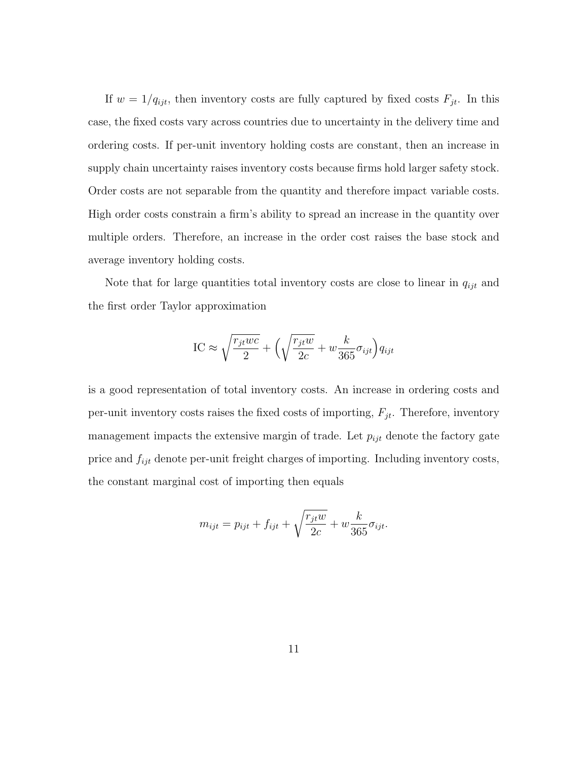If  $w = 1/q_{ijt}$ , then inventory costs are fully captured by fixed costs  $F_{jt}$ . In this case, the fixed costs vary across countries due to uncertainty in the delivery time and ordering costs. If per-unit inventory holding costs are constant, then an increase in supply chain uncertainty raises inventory costs because firms hold larger safety stock. Order costs are not separable from the quantity and therefore impact variable costs. High order costs constrain a firm's ability to spread an increase in the quantity over multiple orders. Therefore, an increase in the order cost raises the base stock and average inventory holding costs.

Note that for large quantities total inventory costs are close to linear in  $q_{ijt}$  and the first order Taylor approximation

$$
IC \approx \sqrt{\frac{r_{jt}wc}{2}} + \left(\sqrt{\frac{r_{jt}w}{2c}} + w\frac{k}{365}\sigma_{ijt}\right)q_{ijt}
$$

is a good representation of total inventory costs. An increase in ordering costs and per-unit inventory costs raises the fixed costs of importing,  $F_{jt}$ . Therefore, inventory management impacts the extensive margin of trade. Let  $p_{ijt}$  denote the factory gate price and  $f_{ijt}$  denote per-unit freight charges of importing. Including inventory costs, the constant marginal cost of importing then equals

$$
m_{ijt} = p_{ijt} + f_{ijt} + \sqrt{\frac{r_{jt}w}{2c}} + w\frac{k}{365}\sigma_{ijt}.
$$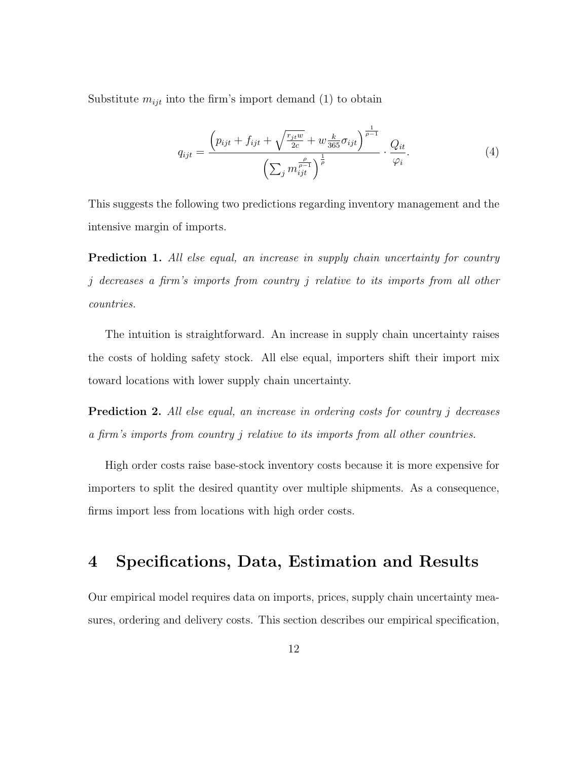Substitute  $m_{ijt}$  into the firm's import demand (1) to obtain

$$
q_{ijt} = \frac{\left(p_{ijt} + f_{ijt} + \sqrt{\frac{r_{jt}w}{2c}} + w\frac{k}{365}\sigma_{ijt}\right)^{\frac{1}{\rho - 1}}}{\left(\sum_j m_{ijt}^{\frac{\rho}{\rho - 1}}\right)^{\frac{1}{\rho}}} \cdot \frac{Q_{it}}{\varphi_i}.
$$
 (4)

This suggests the following two predictions regarding inventory management and the intensive margin of imports.

**Prediction 1.** All else equal, an increase in supply chain uncertainty for country j decreases a firm's imports from country j relative to its imports from all other countries.

The intuition is straightforward. An increase in supply chain uncertainty raises the costs of holding safety stock. All else equal, importers shift their import mix toward locations with lower supply chain uncertainty.

**Prediction 2.** All else equal, an increase in ordering costs for country j decreases a firm's imports from country j relative to its imports from all other countries.

High order costs raise base-stock inventory costs because it is more expensive for importers to split the desired quantity over multiple shipments. As a consequence, firms import less from locations with high order costs.

## 4 Specifications, Data, Estimation and Results

Our empirical model requires data on imports, prices, supply chain uncertainty measures, ordering and delivery costs. This section describes our empirical specification,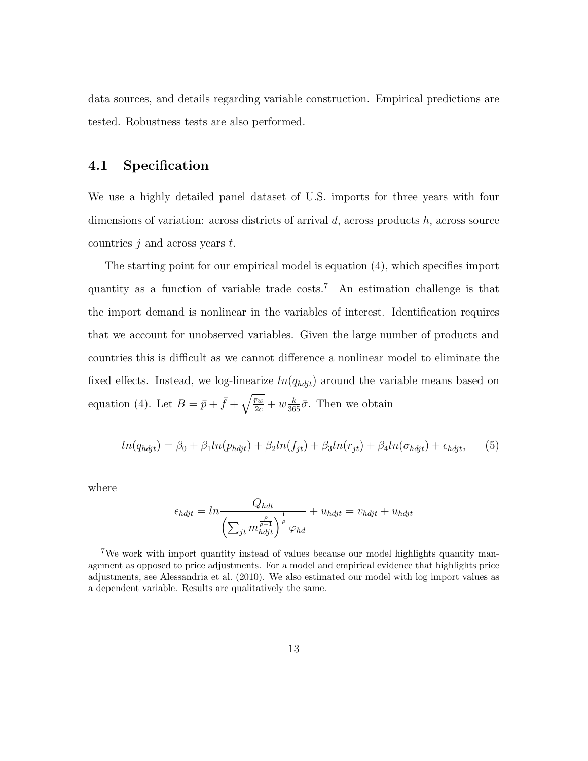data sources, and details regarding variable construction. Empirical predictions are tested. Robustness tests are also performed.

#### 4.1 Specification

We use a highly detailed panel dataset of U.S. imports for three years with four dimensions of variation: across districts of arrival  $d$ , across products  $h$ , across source countries  $j$  and across years  $t$ .

The starting point for our empirical model is equation (4), which specifies import quantity as a function of variable trade  $\cos s$ .<sup>7</sup> An estimation challenge is that the import demand is nonlinear in the variables of interest. Identification requires that we account for unobserved variables. Given the large number of products and countries this is difficult as we cannot difference a nonlinear model to eliminate the fixed effects. Instead, we log-linearize  $ln(q_{hdt})$  around the variable means based on equation (4). Let  $B = \bar{p} + \bar{f} + \sqrt{\frac{\bar{r}w}{2c}} + w \frac{k}{365} \bar{\sigma}$ . Then we obtain

$$
ln(q_{h\dot{q}j}t) = \beta_0 + \beta_1 ln(p_{h\dot{q}j}t) + \beta_2 ln(f_{jt}) + \beta_3 ln(r_{jt}) + \beta_4 ln(\sigma_{h\dot{q}j}t) + \epsilon_{h\dot{q}j}t,
$$
 (5)

where

$$
\epsilon_{h djt} = ln \frac{Q_{h d t}}{\left(\sum_{jt} m_{h djt}^{\frac{\rho}{\rho - 1}}\right)^{\frac{1}{\rho}} \varphi_{h d}} + u_{h djt} = v_{h djt} + u_{h djt}
$$

<sup>7</sup>We work with import quantity instead of values because our model highlights quantity management as opposed to price adjustments. For a model and empirical evidence that highlights price adjustments, see Alessandria et al. (2010). We also estimated our model with log import values as a dependent variable. Results are qualitatively the same.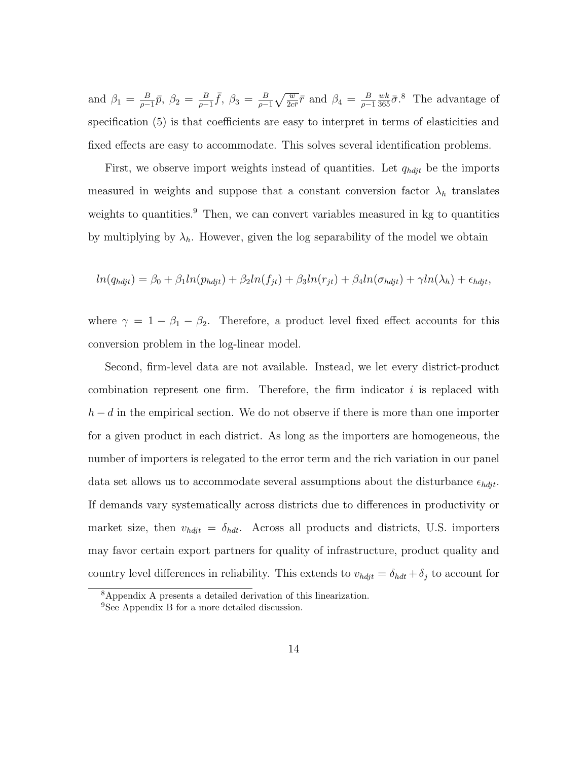and  $\beta_1 = \frac{B}{a}$  $\frac{B}{\rho-1}\bar{p},\ \beta_2=\frac{B}{\rho-1}$  $\frac{B}{\rho-1}\bar{f}, \ \beta_3 = \frac{B}{\rho-1}$  $\frac{B}{\rho-1}\sqrt{\frac{w}{2c\bar{r}}}\bar{r}$  and  $\beta_4 = \frac{B}{\rho-1}$  $\rho-1$  $\frac{wk}{365}\bar{\sigma}$ .<sup>8</sup> The advantage of specification (5) is that coefficients are easy to interpret in terms of elasticities and fixed effects are easy to accommodate. This solves several identification problems.

First, we observe import weights instead of quantities. Let  $q_{h\dot{q}t}$  be the imports measured in weights and suppose that a constant conversion factor  $\lambda_h$  translates weights to quantities.<sup>9</sup> Then, we can convert variables measured in kg to quantities by multiplying by  $\lambda_h$ . However, given the log separability of the model we obtain

$$
ln(q_{h\dot{q}t}) = \beta_0 + \beta_1 ln(p_{h\dot{q}t}) + \beta_2 ln(f_{jt}) + \beta_3 ln(r_{jt}) + \beta_4 ln(\sigma_{h\dot{q}t}) + \gamma ln(\lambda_h) + \epsilon_{h\dot{q}t},
$$

where  $\gamma = 1 - \beta_1 - \beta_2$ . Therefore, a product level fixed effect accounts for this conversion problem in the log-linear model.

Second, firm-level data are not available. Instead, we let every district-product combination represent one firm. Therefore, the firm indicator  $i$  is replaced with  $h - d$  in the empirical section. We do not observe if there is more than one importer for a given product in each district. As long as the importers are homogeneous, the number of importers is relegated to the error term and the rich variation in our panel data set allows us to accommodate several assumptions about the disturbance  $\epsilon_{hdyt}.$ If demands vary systematically across districts due to differences in productivity or market size, then  $v_{hdt} = \delta_{hdt}$ . Across all products and districts, U.S. importers may favor certain export partners for quality of infrastructure, product quality and country level differences in reliability. This extends to  $v_{hdyt} = \delta_{hdt} + \delta_j$  to account for

<sup>8</sup>Appendix A presents a detailed derivation of this linearization.

<sup>&</sup>lt;sup>9</sup>See Appendix B for a more detailed discussion.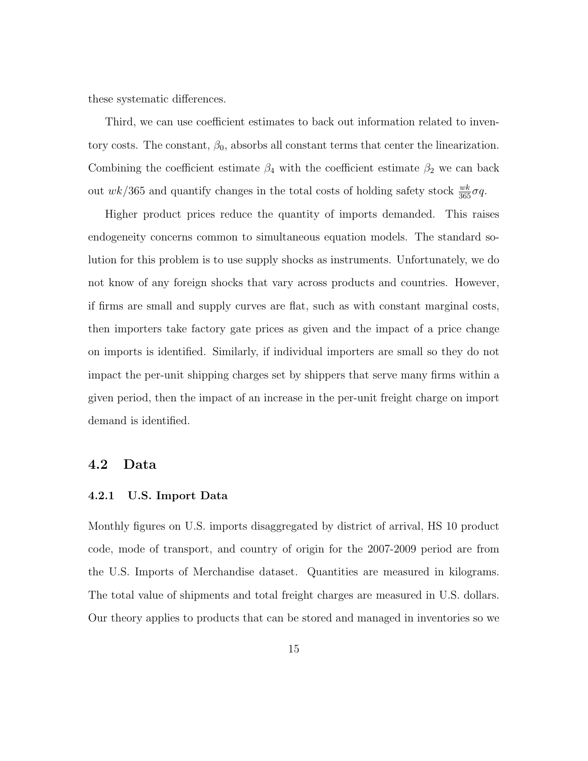these systematic differences.

Third, we can use coefficient estimates to back out information related to inventory costs. The constant,  $\beta_0$ , absorbs all constant terms that center the linearization. Combining the coefficient estimate  $\beta_4$  with the coefficient estimate  $\beta_2$  we can back out  $wk/365$  and quantify changes in the total costs of holding safety stock  $\frac{wk}{365}\sigma q$ .

Higher product prices reduce the quantity of imports demanded. This raises endogeneity concerns common to simultaneous equation models. The standard solution for this problem is to use supply shocks as instruments. Unfortunately, we do not know of any foreign shocks that vary across products and countries. However, if firms are small and supply curves are flat, such as with constant marginal costs, then importers take factory gate prices as given and the impact of a price change on imports is identified. Similarly, if individual importers are small so they do not impact the per-unit shipping charges set by shippers that serve many firms within a given period, then the impact of an increase in the per-unit freight charge on import demand is identified.

#### 4.2 Data

#### 4.2.1 U.S. Import Data

Monthly figures on U.S. imports disaggregated by district of arrival, HS 10 product code, mode of transport, and country of origin for the 2007-2009 period are from the U.S. Imports of Merchandise dataset. Quantities are measured in kilograms. The total value of shipments and total freight charges are measured in U.S. dollars. Our theory applies to products that can be stored and managed in inventories so we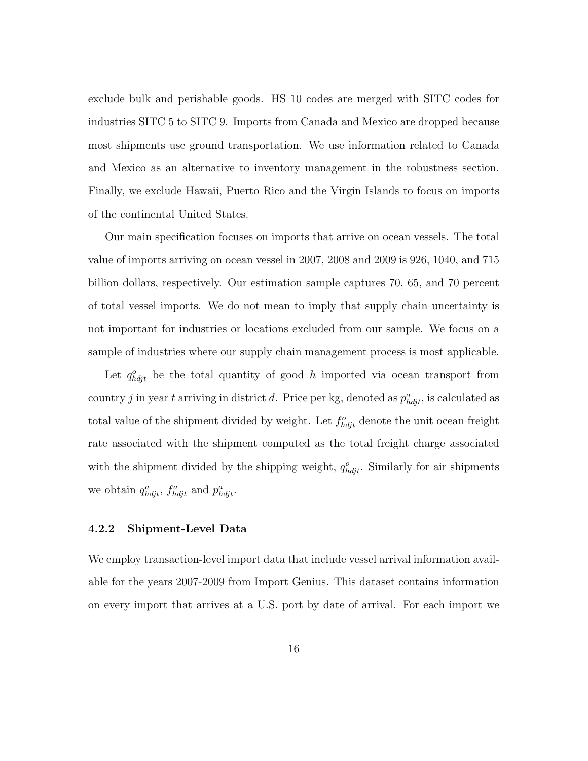exclude bulk and perishable goods. HS 10 codes are merged with SITC codes for industries SITC 5 to SITC 9. Imports from Canada and Mexico are dropped because most shipments use ground transportation. We use information related to Canada and Mexico as an alternative to inventory management in the robustness section. Finally, we exclude Hawaii, Puerto Rico and the Virgin Islands to focus on imports of the continental United States.

Our main specification focuses on imports that arrive on ocean vessels. The total value of imports arriving on ocean vessel in 2007, 2008 and 2009 is 926, 1040, and 715 billion dollars, respectively. Our estimation sample captures 70, 65, and 70 percent of total vessel imports. We do not mean to imply that supply chain uncertainty is not important for industries or locations excluded from our sample. We focus on a sample of industries where our supply chain management process is most applicable.

Let  $q_{hdi}^o$  be the total quantity of good h imported via ocean transport from country j in year t arriving in district d. Price per kg, denoted as  $p_{hdyt}^o$ , is calculated as total value of the shipment divided by weight. Let  $f_{hdi}^o$  denote the unit ocean freight rate associated with the shipment computed as the total freight charge associated with the shipment divided by the shipping weight,  $q_{h\dot{q}j}^o$ . Similarly for air shipments we obtain  $q_{hdyt}^a$ ,  $f_{hdyt}^a$  and  $p_{hdyt}^a$ .

#### 4.2.2 Shipment-Level Data

We employ transaction-level import data that include vessel arrival information available for the years 2007-2009 from Import Genius. This dataset contains information on every import that arrives at a U.S. port by date of arrival. For each import we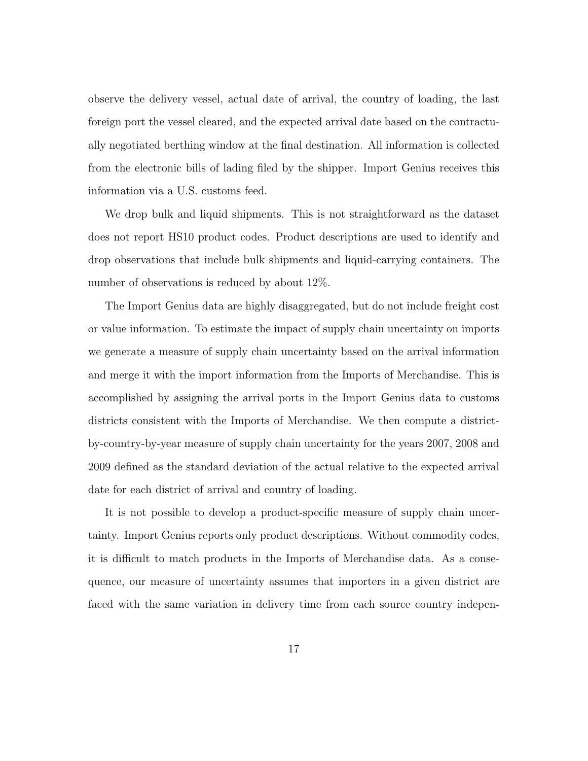observe the delivery vessel, actual date of arrival, the country of loading, the last foreign port the vessel cleared, and the expected arrival date based on the contractually negotiated berthing window at the final destination. All information is collected from the electronic bills of lading filed by the shipper. Import Genius receives this information via a U.S. customs feed.

We drop bulk and liquid shipments. This is not straightforward as the dataset does not report HS10 product codes. Product descriptions are used to identify and drop observations that include bulk shipments and liquid-carrying containers. The number of observations is reduced by about 12%.

The Import Genius data are highly disaggregated, but do not include freight cost or value information. To estimate the impact of supply chain uncertainty on imports we generate a measure of supply chain uncertainty based on the arrival information and merge it with the import information from the Imports of Merchandise. This is accomplished by assigning the arrival ports in the Import Genius data to customs districts consistent with the Imports of Merchandise. We then compute a districtby-country-by-year measure of supply chain uncertainty for the years 2007, 2008 and 2009 defined as the standard deviation of the actual relative to the expected arrival date for each district of arrival and country of loading.

It is not possible to develop a product-specific measure of supply chain uncertainty. Import Genius reports only product descriptions. Without commodity codes, it is difficult to match products in the Imports of Merchandise data. As a consequence, our measure of uncertainty assumes that importers in a given district are faced with the same variation in delivery time from each source country indepen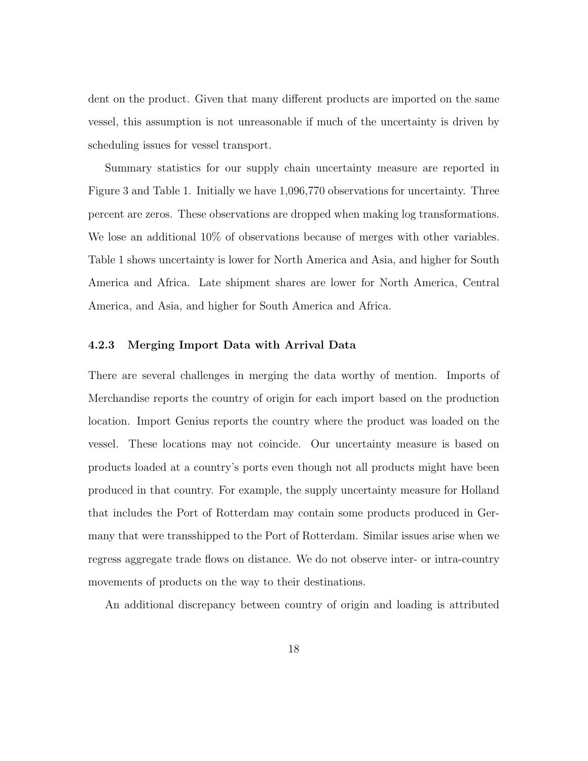dent on the product. Given that many different products are imported on the same vessel, this assumption is not unreasonable if much of the uncertainty is driven by scheduling issues for vessel transport.

Summary statistics for our supply chain uncertainty measure are reported in Figure 3 and Table 1. Initially we have 1,096,770 observations for uncertainty. Three percent are zeros. These observations are dropped when making log transformations. We lose an additional  $10\%$  of observations because of merges with other variables. Table 1 shows uncertainty is lower for North America and Asia, and higher for South America and Africa. Late shipment shares are lower for North America, Central America, and Asia, and higher for South America and Africa.

#### 4.2.3 Merging Import Data with Arrival Data

There are several challenges in merging the data worthy of mention. Imports of Merchandise reports the country of origin for each import based on the production location. Import Genius reports the country where the product was loaded on the vessel. These locations may not coincide. Our uncertainty measure is based on products loaded at a country's ports even though not all products might have been produced in that country. For example, the supply uncertainty measure for Holland that includes the Port of Rotterdam may contain some products produced in Germany that were transshipped to the Port of Rotterdam. Similar issues arise when we regress aggregate trade flows on distance. We do not observe inter- or intra-country movements of products on the way to their destinations.

An additional discrepancy between country of origin and loading is attributed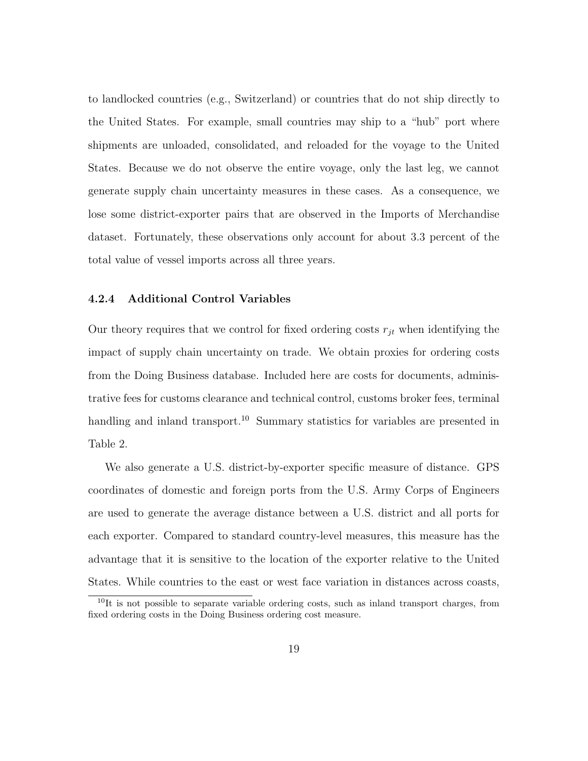to landlocked countries (e.g., Switzerland) or countries that do not ship directly to the United States. For example, small countries may ship to a "hub" port where shipments are unloaded, consolidated, and reloaded for the voyage to the United States. Because we do not observe the entire voyage, only the last leg, we cannot generate supply chain uncertainty measures in these cases. As a consequence, we lose some district-exporter pairs that are observed in the Imports of Merchandise dataset. Fortunately, these observations only account for about 3.3 percent of the total value of vessel imports across all three years.

#### 4.2.4 Additional Control Variables

Our theory requires that we control for fixed ordering costs  $r_{jt}$  when identifying the impact of supply chain uncertainty on trade. We obtain proxies for ordering costs from the Doing Business database. Included here are costs for documents, administrative fees for customs clearance and technical control, customs broker fees, terminal handling and inland transport.<sup>10</sup> Summary statistics for variables are presented in Table 2.

We also generate a U.S. district-by-exporter specific measure of distance. GPS coordinates of domestic and foreign ports from the U.S. Army Corps of Engineers are used to generate the average distance between a U.S. district and all ports for each exporter. Compared to standard country-level measures, this measure has the advantage that it is sensitive to the location of the exporter relative to the United States. While countries to the east or west face variation in distances across coasts,

 $10$ It is not possible to separate variable ordering costs, such as inland transport charges, from fixed ordering costs in the Doing Business ordering cost measure.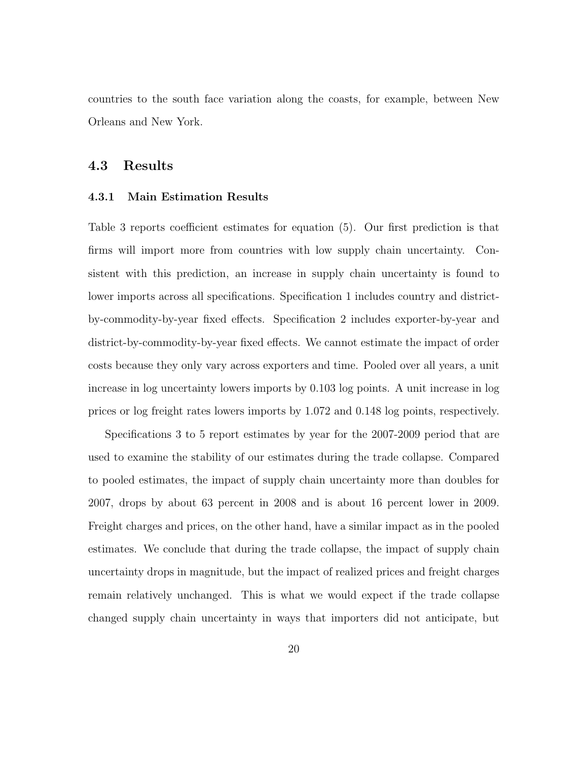countries to the south face variation along the coasts, for example, between New Orleans and New York.

#### 4.3 Results

#### 4.3.1 Main Estimation Results

Table 3 reports coefficient estimates for equation (5). Our first prediction is that firms will import more from countries with low supply chain uncertainty. Consistent with this prediction, an increase in supply chain uncertainty is found to lower imports across all specifications. Specification 1 includes country and districtby-commodity-by-year fixed effects. Specification 2 includes exporter-by-year and district-by-commodity-by-year fixed effects. We cannot estimate the impact of order costs because they only vary across exporters and time. Pooled over all years, a unit increase in log uncertainty lowers imports by 0.103 log points. A unit increase in log prices or log freight rates lowers imports by 1.072 and 0.148 log points, respectively.

Specifications 3 to 5 report estimates by year for the 2007-2009 period that are used to examine the stability of our estimates during the trade collapse. Compared to pooled estimates, the impact of supply chain uncertainty more than doubles for 2007, drops by about 63 percent in 2008 and is about 16 percent lower in 2009. Freight charges and prices, on the other hand, have a similar impact as in the pooled estimates. We conclude that during the trade collapse, the impact of supply chain uncertainty drops in magnitude, but the impact of realized prices and freight charges remain relatively unchanged. This is what we would expect if the trade collapse changed supply chain uncertainty in ways that importers did not anticipate, but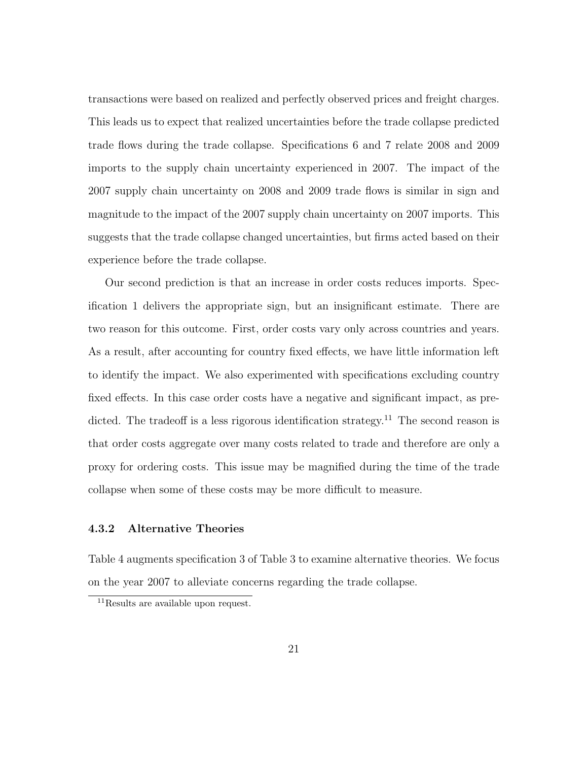transactions were based on realized and perfectly observed prices and freight charges. This leads us to expect that realized uncertainties before the trade collapse predicted trade flows during the trade collapse. Specifications 6 and 7 relate 2008 and 2009 imports to the supply chain uncertainty experienced in 2007. The impact of the 2007 supply chain uncertainty on 2008 and 2009 trade flows is similar in sign and magnitude to the impact of the 2007 supply chain uncertainty on 2007 imports. This suggests that the trade collapse changed uncertainties, but firms acted based on their experience before the trade collapse.

Our second prediction is that an increase in order costs reduces imports. Specification 1 delivers the appropriate sign, but an insignificant estimate. There are two reason for this outcome. First, order costs vary only across countries and years. As a result, after accounting for country fixed effects, we have little information left to identify the impact. We also experimented with specifications excluding country fixed effects. In this case order costs have a negative and significant impact, as predicted. The tradeoff is a less rigorous identification strategy.<sup>11</sup> The second reason is that order costs aggregate over many costs related to trade and therefore are only a proxy for ordering costs. This issue may be magnified during the time of the trade collapse when some of these costs may be more difficult to measure.

#### 4.3.2 Alternative Theories

Table 4 augments specification 3 of Table 3 to examine alternative theories. We focus on the year 2007 to alleviate concerns regarding the trade collapse.

<sup>&</sup>lt;sup>11</sup>Results are available upon request.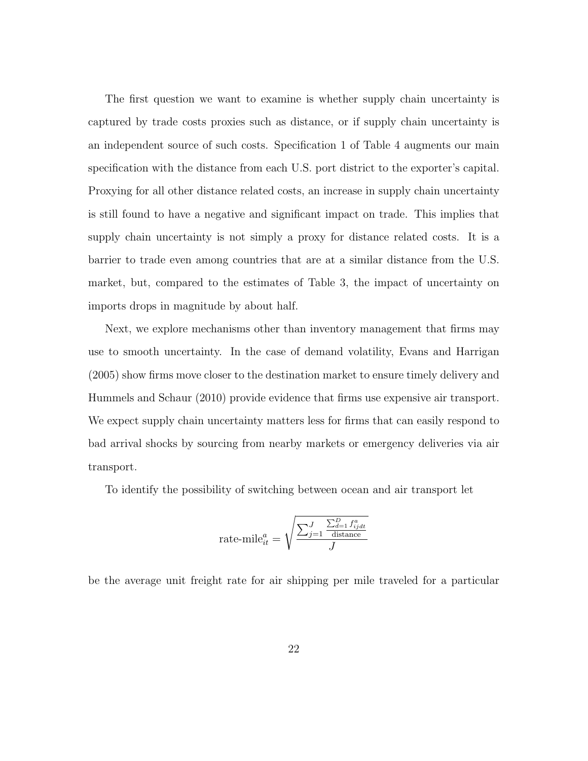The first question we want to examine is whether supply chain uncertainty is captured by trade costs proxies such as distance, or if supply chain uncertainty is an independent source of such costs. Specification 1 of Table 4 augments our main specification with the distance from each U.S. port district to the exporter's capital. Proxying for all other distance related costs, an increase in supply chain uncertainty is still found to have a negative and significant impact on trade. This implies that supply chain uncertainty is not simply a proxy for distance related costs. It is a barrier to trade even among countries that are at a similar distance from the U.S. market, but, compared to the estimates of Table 3, the impact of uncertainty on imports drops in magnitude by about half.

Next, we explore mechanisms other than inventory management that firms may use to smooth uncertainty. In the case of demand volatility, Evans and Harrigan (2005) show firms move closer to the destination market to ensure timely delivery and Hummels and Schaur (2010) provide evidence that firms use expensive air transport. We expect supply chain uncertainty matters less for firms that can easily respond to bad arrival shocks by sourcing from nearby markets or emergency deliveries via air transport.

To identify the possibility of switching between ocean and air transport let

rate-mile<sup>a</sup><sub>it</sub> = 
$$
\sqrt{\frac{\sum_{j=1}^{J} \frac{\sum_{d=1}^{D} f_{ijdt}^a}{\text{distance}}}{J}}
$$

be the average unit freight rate for air shipping per mile traveled for a particular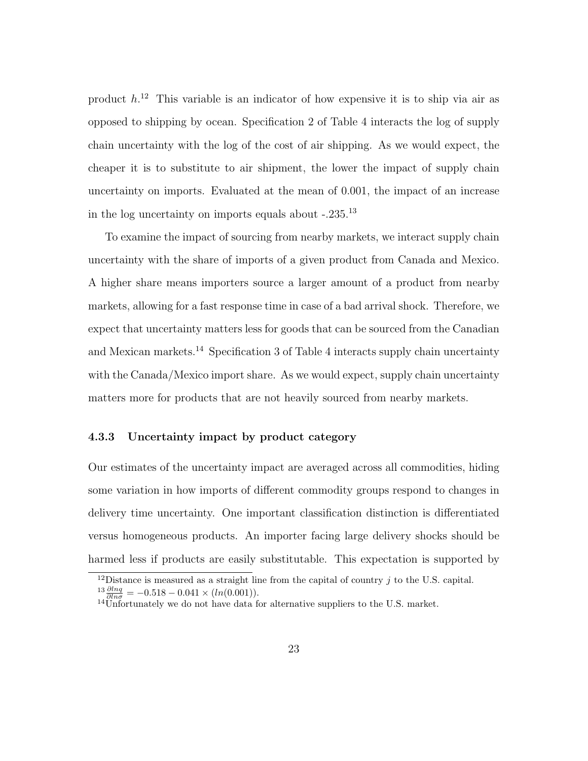product  $h^{12}$  This variable is an indicator of how expensive it is to ship via air as opposed to shipping by ocean. Specification 2 of Table 4 interacts the log of supply chain uncertainty with the log of the cost of air shipping. As we would expect, the cheaper it is to substitute to air shipment, the lower the impact of supply chain uncertainty on imports. Evaluated at the mean of 0.001, the impact of an increase in the log uncertainty on imports equals about  $-.235.^{13}$ 

To examine the impact of sourcing from nearby markets, we interact supply chain uncertainty with the share of imports of a given product from Canada and Mexico. A higher share means importers source a larger amount of a product from nearby markets, allowing for a fast response time in case of a bad arrival shock. Therefore, we expect that uncertainty matters less for goods that can be sourced from the Canadian and Mexican markets.<sup>14</sup> Specification 3 of Table 4 interacts supply chain uncertainty with the Canada/Mexico import share. As we would expect, supply chain uncertainty matters more for products that are not heavily sourced from nearby markets.

#### 4.3.3 Uncertainty impact by product category

Our estimates of the uncertainty impact are averaged across all commodities, hiding some variation in how imports of different commodity groups respond to changes in delivery time uncertainty. One important classification distinction is differentiated versus homogeneous products. An importer facing large delivery shocks should be harmed less if products are easily substitutable. This expectation is supported by

<sup>&</sup>lt;sup>12</sup>Distance is measured as a straight line from the capital of country  $j$  to the U.S. capital.  $\frac{13}{\partial ln \sigma} \frac{\partial ln q}{\partial ln \sigma} = -0.518 - 0.041 \times (ln(0.001)).$ 

 $14$ Unfortunately we do not have data for alternative suppliers to the U.S. market.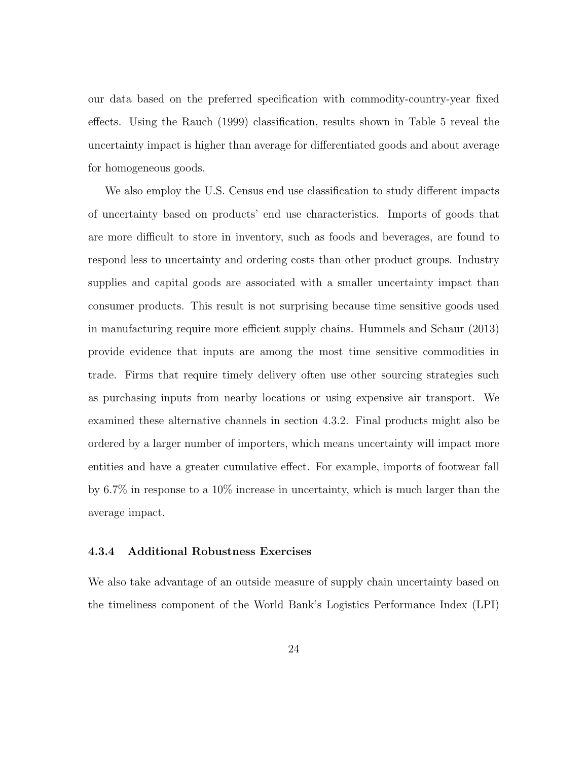our data based on the preferred specification with commodity-country-year fixed effects. Using the Rauch (1999) classification, results shown in Table 5 reveal the uncertainty impact is higher than average for differentiated goods and about average for homogeneous goods.

We also employ the U.S. Census end use classification to study different impacts of uncertainty based on products' end use characteristics. Imports of goods that are more difficult to store in inventory, such as foods and beverages, are found to respond less to uncertainty and ordering costs than other product groups. Industry supplies and capital goods are associated with a smaller uncertainty impact than consumer products. This result is not surprising because time sensitive goods used in manufacturing require more efficient supply chains. Hummels and Schaur (2013) provide evidence that inputs are among the most time sensitive commodities in trade. Firms that require timely delivery often use other sourcing strategies such as purchasing inputs from nearby locations or using expensive air transport. We examined these alternative channels in section 4.3.2. Final products might also be ordered by a larger number of importers, which means uncertainty will impact more entities and have a greater cumulative effect. For example, imports of footwear fall by 6.7% in response to a 10% increase in uncertainty, which is much larger than the average impact.

#### 4.3.4 Additional Robustness Exercises

We also take advantage of an outside measure of supply chain uncertainty based on the timeliness component of the World Bank's Logistics Performance Index (LPI)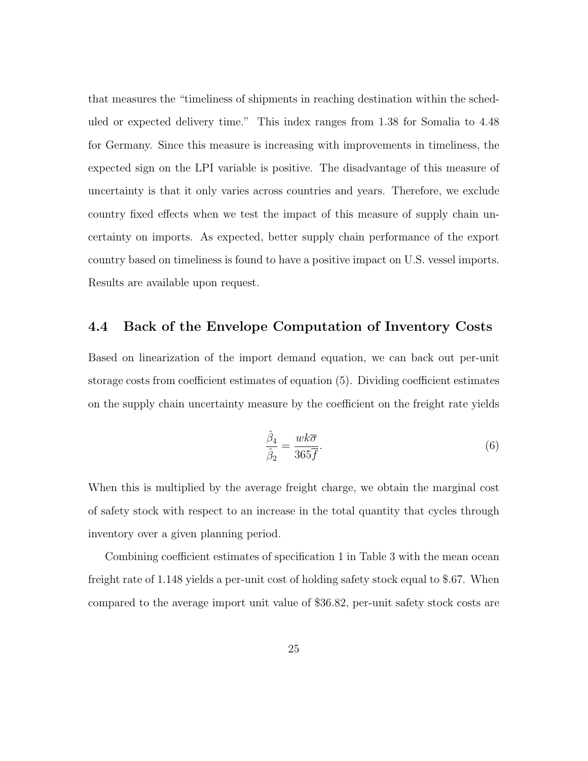that measures the "timeliness of shipments in reaching destination within the scheduled or expected delivery time." This index ranges from 1.38 for Somalia to 4.48 for Germany. Since this measure is increasing with improvements in timeliness, the expected sign on the LPI variable is positive. The disadvantage of this measure of uncertainty is that it only varies across countries and years. Therefore, we exclude country fixed effects when we test the impact of this measure of supply chain uncertainty on imports. As expected, better supply chain performance of the export country based on timeliness is found to have a positive impact on U.S. vessel imports. Results are available upon request.

#### 4.4 Back of the Envelope Computation of Inventory Costs

Based on linearization of the import demand equation, we can back out per-unit storage costs from coefficient estimates of equation (5). Dividing coefficient estimates on the supply chain uncertainty measure by the coefficient on the freight rate yields

$$
\frac{\hat{\beta}_4}{\hat{\beta}_2} = \frac{wk\overline{\sigma}}{365\overline{f}}.\tag{6}
$$

When this is multiplied by the average freight charge, we obtain the marginal cost of safety stock with respect to an increase in the total quantity that cycles through inventory over a given planning period.

Combining coefficient estimates of specification 1 in Table 3 with the mean ocean freight rate of 1.148 yields a per-unit cost of holding safety stock equal to \$.67. When compared to the average import unit value of \$36.82, per-unit safety stock costs are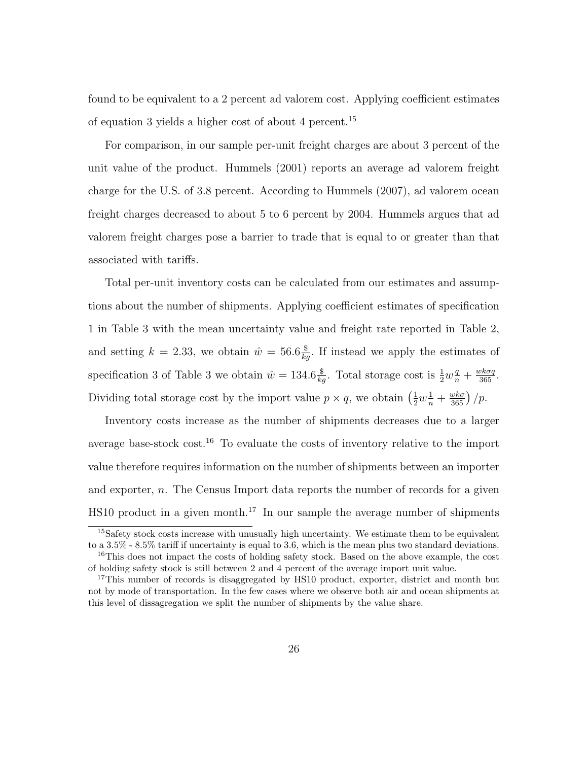found to be equivalent to a 2 percent ad valorem cost. Applying coefficient estimates of equation 3 yields a higher cost of about 4 percent.<sup>15</sup>

For comparison, in our sample per-unit freight charges are about 3 percent of the unit value of the product. Hummels (2001) reports an average ad valorem freight charge for the U.S. of 3.8 percent. According to Hummels (2007), ad valorem ocean freight charges decreased to about 5 to 6 percent by 2004. Hummels argues that ad valorem freight charges pose a barrier to trade that is equal to or greater than that associated with tariffs.

Total per-unit inventory costs can be calculated from our estimates and assumptions about the number of shipments. Applying coefficient estimates of specification 1 in Table 3 with the mean uncertainty value and freight rate reported in Table 2, and setting  $k = 2.33$ , we obtain  $\hat{w} = 56.6 \frac{\$}{kg}$ . If instead we apply the estimates of specification 3 of Table 3 we obtain  $\hat{w} = 134.6 \frac{\$}{kg}$ . Total storage cost is  $\frac{1}{2} w_n^q + \frac{w k \sigma q}{365}$ . Dividing total storage cost by the import value  $p \times q$ , we obtain  $\left(\frac{1}{2}w_{\overline{n}}^1 + \frac{w k \sigma}{365}\right)/p$ .

Inventory costs increase as the number of shipments decreases due to a larger average base-stock  $\cos t$ .<sup>16</sup> To evaluate the costs of inventory relative to the import value therefore requires information on the number of shipments between an importer and exporter, n. The Census Import data reports the number of records for a given HS10 product in a given month.<sup>17</sup> In our sample the average number of shipments

<sup>&</sup>lt;sup>15</sup>Safety stock costs increase with unusually high uncertainty. We estimate them to be equivalent to a 3.5% - 8.5% tariff if uncertainty is equal to 3.6, which is the mean plus two standard deviations. <sup>16</sup>This does not impact the costs of holding safety stock. Based on the above example, the cost of holding safety stock is still between 2 and 4 percent of the average import unit value.

<sup>&</sup>lt;sup>17</sup>This number of records is disaggregated by HS10 product, exporter, district and month but not by mode of transportation. In the few cases where we observe both air and ocean shipments at this level of dissagregation we split the number of shipments by the value share.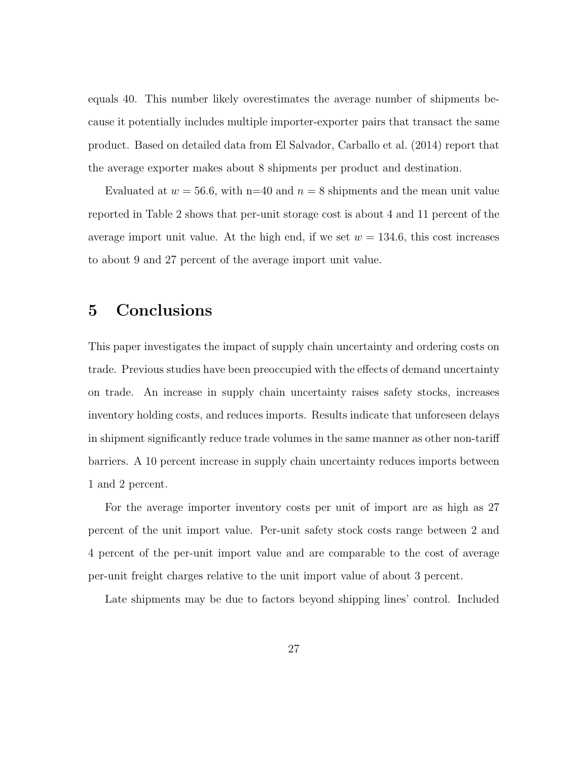equals 40. This number likely overestimates the average number of shipments because it potentially includes multiple importer-exporter pairs that transact the same product. Based on detailed data from El Salvador, Carballo et al. (2014) report that the average exporter makes about 8 shipments per product and destination.

Evaluated at  $w = 56.6$ , with n=40 and  $n = 8$  shipments and the mean unit value reported in Table 2 shows that per-unit storage cost is about 4 and 11 percent of the average import unit value. At the high end, if we set  $w = 134.6$ , this cost increases to about 9 and 27 percent of the average import unit value.

## 5 Conclusions

This paper investigates the impact of supply chain uncertainty and ordering costs on trade. Previous studies have been preoccupied with the effects of demand uncertainty on trade. An increase in supply chain uncertainty raises safety stocks, increases inventory holding costs, and reduces imports. Results indicate that unforeseen delays in shipment significantly reduce trade volumes in the same manner as other non-tariff barriers. A 10 percent increase in supply chain uncertainty reduces imports between 1 and 2 percent.

For the average importer inventory costs per unit of import are as high as 27 percent of the unit import value. Per-unit safety stock costs range between 2 and 4 percent of the per-unit import value and are comparable to the cost of average per-unit freight charges relative to the unit import value of about 3 percent.

Late shipments may be due to factors beyond shipping lines' control. Included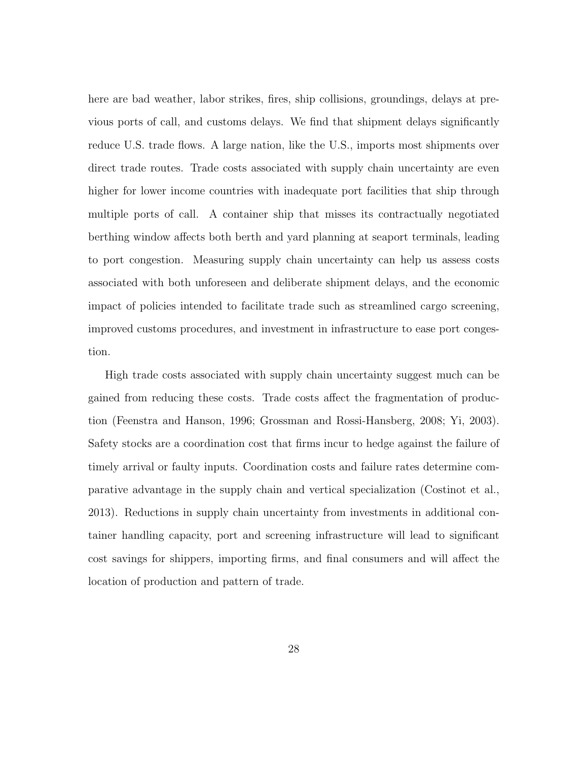here are bad weather, labor strikes, fires, ship collisions, groundings, delays at previous ports of call, and customs delays. We find that shipment delays significantly reduce U.S. trade flows. A large nation, like the U.S., imports most shipments over direct trade routes. Trade costs associated with supply chain uncertainty are even higher for lower income countries with inadequate port facilities that ship through multiple ports of call. A container ship that misses its contractually negotiated berthing window affects both berth and yard planning at seaport terminals, leading to port congestion. Measuring supply chain uncertainty can help us assess costs associated with both unforeseen and deliberate shipment delays, and the economic impact of policies intended to facilitate trade such as streamlined cargo screening, improved customs procedures, and investment in infrastructure to ease port congestion.

High trade costs associated with supply chain uncertainty suggest much can be gained from reducing these costs. Trade costs affect the fragmentation of production (Feenstra and Hanson, 1996; Grossman and Rossi-Hansberg, 2008; Yi, 2003). Safety stocks are a coordination cost that firms incur to hedge against the failure of timely arrival or faulty inputs. Coordination costs and failure rates determine comparative advantage in the supply chain and vertical specialization (Costinot et al., 2013). Reductions in supply chain uncertainty from investments in additional container handling capacity, port and screening infrastructure will lead to significant cost savings for shippers, importing firms, and final consumers and will affect the location of production and pattern of trade.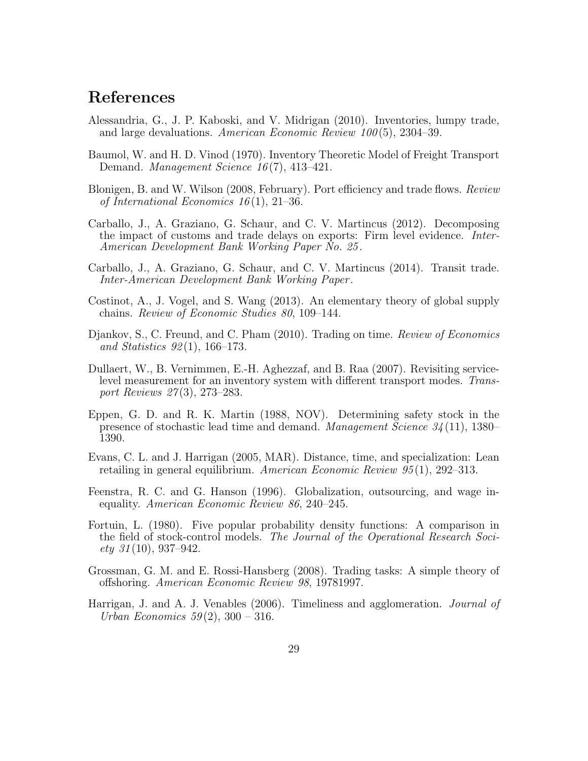## References

- Alessandria, G., J. P. Kaboski, and V. Midrigan (2010). Inventories, lumpy trade, and large devaluations. American Economic Review 100 (5), 2304–39.
- Baumol, W. and H. D. Vinod (1970). Inventory Theoretic Model of Freight Transport Demand. *Management Science 16*(7), 413–421.
- Blonigen, B. and W. Wilson (2008, February). Port efficiency and trade flows. Review of International Economics  $16(1)$ , 21–36.
- Carballo, J., A. Graziano, G. Schaur, and C. V. Martincus (2012). Decomposing the impact of customs and trade delays on exports: Firm level evidence. Inter-American Development Bank Working Paper No. 25 .
- Carballo, J., A. Graziano, G. Schaur, and C. V. Martincus (2014). Transit trade. Inter-American Development Bank Working Paper .
- Costinot, A., J. Vogel, and S. Wang (2013). An elementary theory of global supply chains. Review of Economic Studies 80, 109–144.
- Djankov, S., C. Freund, and C. Pham (2010). Trading on time. *Review of Economics* and Statistics  $92(1)$ , 166–173.
- Dullaert, W., B. Vernimmen, E.-H. Aghezzaf, and B. Raa (2007). Revisiting servicelevel measurement for an inventory system with different transport modes. Transport Reviews 27 (3), 273–283.
- Eppen, G. D. and R. K. Martin (1988, NOV). Determining safety stock in the presence of stochastic lead time and demand. Management Science 34 (11), 1380– 1390.
- Evans, C. L. and J. Harrigan (2005, MAR). Distance, time, and specialization: Lean retailing in general equilibrium. American Economic Review 95 (1), 292–313.
- Feenstra, R. C. and G. Hanson (1996). Globalization, outsourcing, and wage inequality. American Economic Review 86, 240–245.
- Fortuin, L. (1980). Five popular probability density functions: A comparison in the field of stock-control models. The Journal of the Operational Research Soci $ety \t31(10), 937-942.$
- Grossman, G. M. and E. Rossi-Hansberg (2008). Trading tasks: A simple theory of offshoring. American Economic Review 98, 19781997.
- Harrigan, J. and A. J. Venables (2006). Timeliness and agglomeration. Journal of Urban Economics  $59(2)$ ,  $300 - 316$ .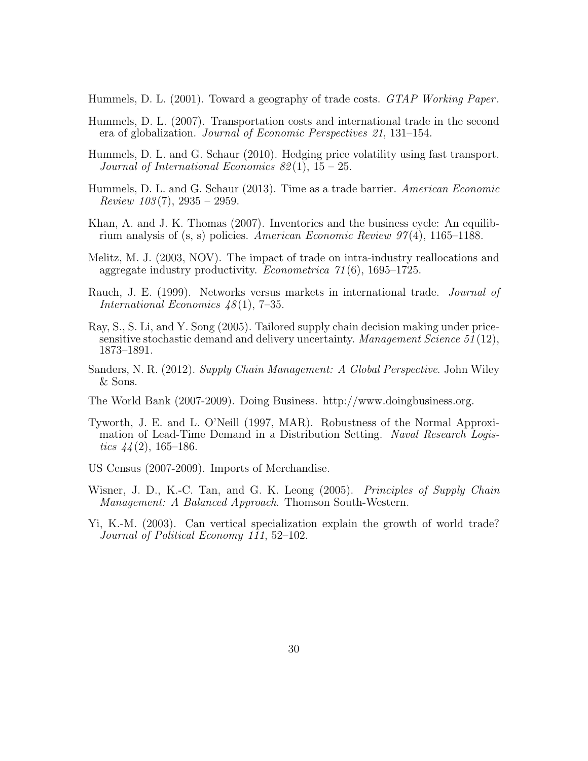Hummels, D. L. (2001). Toward a geography of trade costs. GTAP Working Paper.

- Hummels, D. L. (2007). Transportation costs and international trade in the second era of globalization. Journal of Economic Perspectives 21, 131–154.
- Hummels, D. L. and G. Schaur (2010). Hedging price volatility using fast transport. Journal of International Economics  $82(1)$ ,  $15-25$ .
- Hummels, D. L. and G. Schaur (2013). Time as a trade barrier. American Economic Review  $103(7)$ ,  $2935 - 2959$ .
- Khan, A. and J. K. Thomas (2007). Inventories and the business cycle: An equilibrium analysis of  $(s, s)$  policies. American Economic Review 97(4), 1165–1188.
- Melitz, M. J. (2003, NOV). The impact of trade on intra-industry reallocations and aggregate industry productivity. *Econometrica*  $71(6)$ , 1695–1725.
- Rauch, J. E. (1999). Networks versus markets in international trade. Journal of International Economics 48 (1), 7–35.
- Ray, S., S. Li, and Y. Song (2005). Tailored supply chain decision making under pricesensitive stochastic demand and delivery uncertainty. Management Science 51 (12), 1873–1891.
- Sanders, N. R. (2012). Supply Chain Management: A Global Perspective. John Wiley & Sons.
- The World Bank (2007-2009). Doing Business. http://www.doingbusiness.org.
- Tyworth, J. E. and L. O'Neill (1997, MAR). Robustness of the Normal Approximation of Lead-Time Demand in a Distribution Setting. Naval Research Logistics  $44(2)$ , 165–186.
- US Census (2007-2009). Imports of Merchandise.
- Wisner, J. D., K.-C. Tan, and G. K. Leong (2005). Principles of Supply Chain Management: A Balanced Approach. Thomson South-Western.
- Yi, K.-M. (2003). Can vertical specialization explain the growth of world trade? Journal of Political Economy 111, 52–102.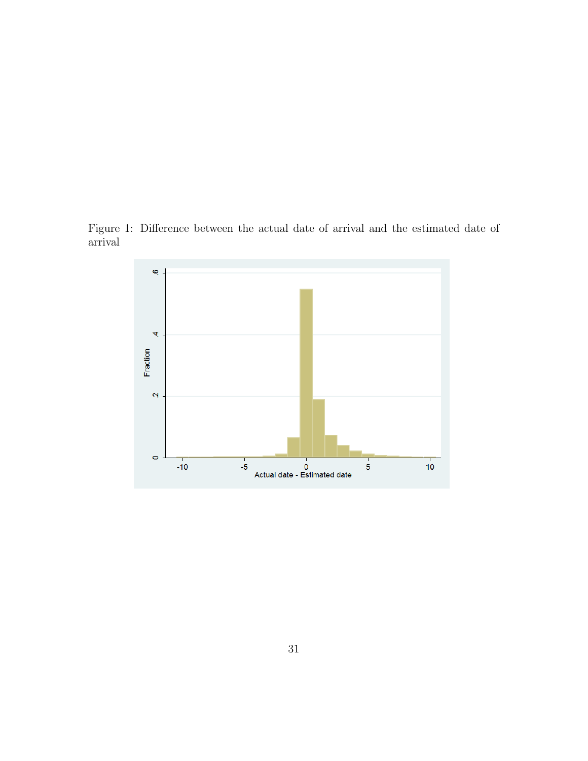Figure 1: Difference between the actual date of arrival and the estimated date of arrival

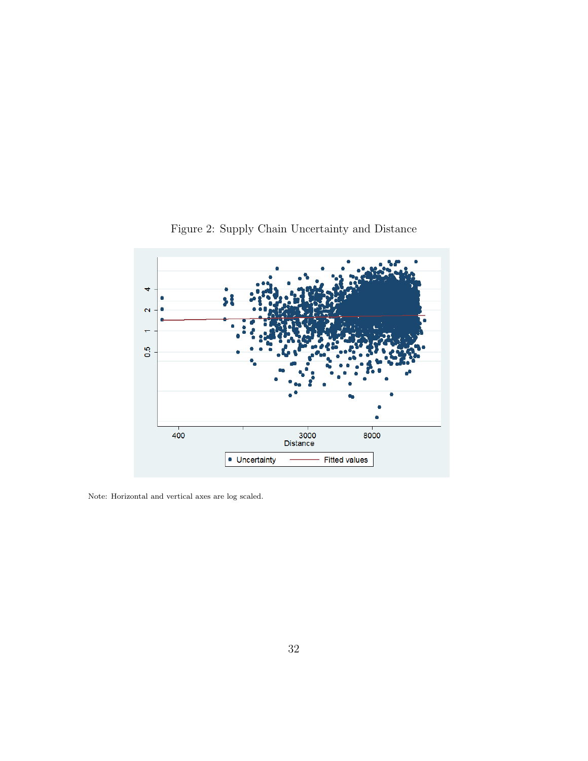

Figure 2: Supply Chain Uncertainty and Distance

Note: Horizontal and vertical axes are log scaled.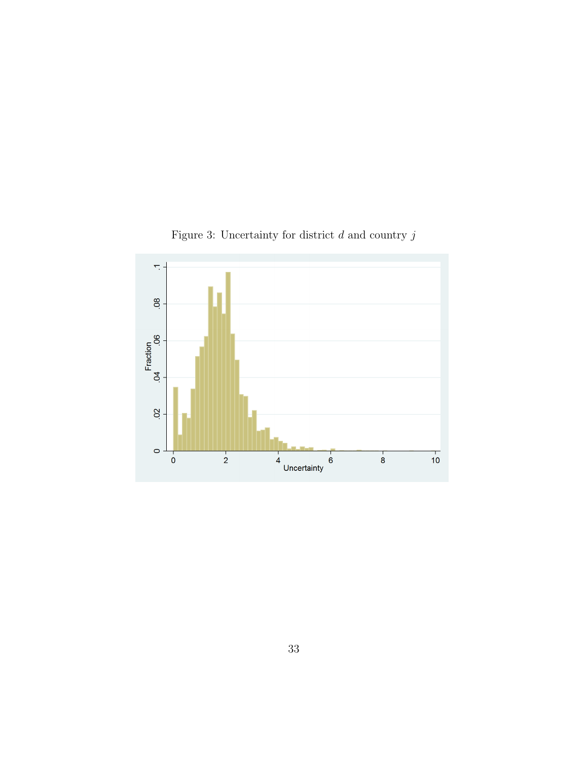

Figure 3: Uncertainty for district  $d$  and country  $j$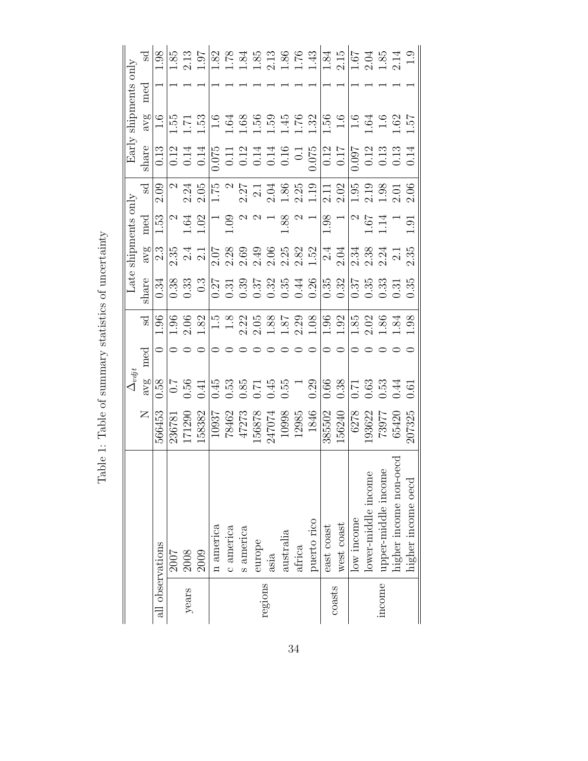|                  |                     |                                    | $\Delta_{vdj}$             |     |                            | Late:                                              |                                                          | shipments only                                           |                  | Early                                                                                                                                                                                                                                                                                                         |                                      | shipments only |                                                                                                                                                                                                                                                                                                     |
|------------------|---------------------|------------------------------------|----------------------------|-----|----------------------------|----------------------------------------------------|----------------------------------------------------------|----------------------------------------------------------|------------------|---------------------------------------------------------------------------------------------------------------------------------------------------------------------------------------------------------------------------------------------------------------------------------------------------------------|--------------------------------------|----------------|-----------------------------------------------------------------------------------------------------------------------------------------------------------------------------------------------------------------------------------------------------------------------------------------------------|
|                  |                     | $\mathsf{Z}$                       | avg                        | med | Sd                         | share                                              | avg                                                      | med                                                      | ್ದ               | share                                                                                                                                                                                                                                                                                                         | avg                                  | med            |                                                                                                                                                                                                                                                                                                     |
| all observations |                     | 566453                             | 0.58                       |     | 1.96                       | $\overline{0.34}$                                  | 2.3                                                      | $\left \frac{1}{152}\right $                             | 2.09             | $\,0.13$                                                                                                                                                                                                                                                                                                      | 1.6                                  |                | 1.98                                                                                                                                                                                                                                                                                                |
|                  | 2007                | 236781                             |                            |     | 1.96                       |                                                    |                                                          |                                                          | $\mathcal{C}$    |                                                                                                                                                                                                                                                                                                               |                                      |                |                                                                                                                                                                                                                                                                                                     |
| years            | 2008<br>2009        | 171290                             | $\frac{17}{0.56}$          |     |                            | $\begin{array}{c} 0.38 \\ 0.33 \\ 0.3 \end{array}$ | $2.\overline{3}$<br>$2.\overline{1}$<br>$2.\overline{1}$ |                                                          | $2.24$<br>$2.05$ |                                                                                                                                                                                                                                                                                                               |                                      |                | $\frac{1.85}{2.13}$                                                                                                                                                                                                                                                                                 |
|                  |                     | 158382                             |                            |     |                            |                                                    |                                                          | $\frac{2}{1.64}$                                         |                  | $\begin{array}{c} 0.13 \\ 0.14 \\ 0.07 \\ 0.07 \\ 0.07 \\ 0.07 \\ 0.07 \\ 0.07 \\ 0.07 \\ 0.07 \\ 0.07 \\ 0.07 \\ 0.07 \\ 0.07 \\ 0.07 \\ 0.07 \\ 0.07 \\ 0.07 \\ 0.07 \\ 0.07 \\ 0.07 \\ 0.07 \\ 0.07 \\ 0.07 \\ 0.07 \\ 0.07 \\ 0.07 \\ 0.07 \\ 0.07 \\ 0.07 \\ 0.07 \\ 0.07 \\ 0.07 \\ 0.07 \\ 0.07 \\ 0.$ |                                      |                |                                                                                                                                                                                                                                                                                                     |
|                  | n america           | 10937                              |                            |     |                            |                                                    |                                                          |                                                          |                  |                                                                                                                                                                                                                                                                                                               |                                      |                |                                                                                                                                                                                                                                                                                                     |
|                  | c america           |                                    |                            |     |                            |                                                    |                                                          | $\begin{array}{c} 1.09 \end{array}$                      |                  |                                                                                                                                                                                                                                                                                                               |                                      |                |                                                                                                                                                                                                                                                                                                     |
|                  | s america           |                                    |                            |     |                            |                                                    |                                                          |                                                          |                  |                                                                                                                                                                                                                                                                                                               |                                      |                |                                                                                                                                                                                                                                                                                                     |
|                  | europe              | 78462<br>47273<br>156878<br>156878 | $0.53$<br>$0.53$<br>$0.57$ |     |                            |                                                    |                                                          |                                                          |                  |                                                                                                                                                                                                                                                                                                               |                                      |                |                                                                                                                                                                                                                                                                                                     |
| regions          | asia                |                                    |                            |     |                            |                                                    |                                                          |                                                          |                  |                                                                                                                                                                                                                                                                                                               |                                      |                |                                                                                                                                                                                                                                                                                                     |
|                  | australia           | 10998<br>12985                     | $0.55$ 1                   |     |                            |                                                    |                                                          | $1.88\,$                                                 |                  |                                                                                                                                                                                                                                                                                                               |                                      |                |                                                                                                                                                                                                                                                                                                     |
|                  | africa              |                                    |                            |     |                            |                                                    |                                                          |                                                          |                  |                                                                                                                                                                                                                                                                                                               |                                      |                |                                                                                                                                                                                                                                                                                                     |
|                  | puerto rico         | 1846                               | 0.29                       |     |                            |                                                    |                                                          |                                                          |                  |                                                                                                                                                                                                                                                                                                               |                                      |                | $\begin{array}{c} 1.82 \\ 1.184 \\ 1.111 \\ 2.136 \\ 3.136 \\ 4.149 \\ 5.136 \\ 6.149 \\ 7.149 \\ 1.184 \\ 1.184 \\ 1.194 \\ 1.194 \\ 1.194 \\ 1.194 \\ 1.194 \\ 1.194 \\ 1.194 \\ 1.194 \\ 1.194 \\ 1.194 \\ 1.194 \\ 1.194 \\ 1.194 \\ 1.194 \\ 1.194 \\ 1.194 \\ 1.194 \\ 1.194 \\ 1.194 \\ 1.1$ |
|                  | east coast          | 385502                             | 0.66                       |     |                            |                                                    |                                                          | $1.98$ $\,$                                              |                  |                                                                                                                                                                                                                                                                                                               |                                      |                |                                                                                                                                                                                                                                                                                                     |
| coasts           | west coast          | 156240                             | 0.38                       |     | $1.96$<br>$1.92$           |                                                    |                                                          |                                                          |                  |                                                                                                                                                                                                                                                                                                               | $\frac{1.56}{1.6}$                   |                |                                                                                                                                                                                                                                                                                                     |
|                  | low income          | 6278                               | 0.71                       |     |                            |                                                    |                                                          |                                                          |                  |                                                                                                                                                                                                                                                                                                               |                                      |                |                                                                                                                                                                                                                                                                                                     |
|                  | lower-middle income | 193622                             | 0.63                       |     | $1.85$<br>$2.02$<br>$1.86$ |                                                    |                                                          | $\begin{array}{c} 2 \\ 2.67 \\ 1.14 \\ 1.91 \end{array}$ |                  | $\begin{array}{c} 0.097 \\ 0.12 \\ 0.13 \\ 0.13 \\ 0.13 \\ 0.14 \end{array}$                                                                                                                                                                                                                                  | $1.64$<br>$1.61$<br>$1.62$<br>$1.57$ |                | $\frac{1.67}{2.04}$<br>$\frac{1.85}{2.14}$                                                                                                                                                                                                                                                          |
| income           | upper-middle income | 73977                              |                            |     |                            |                                                    |                                                          |                                                          |                  |                                                                                                                                                                                                                                                                                                               |                                      |                |                                                                                                                                                                                                                                                                                                     |
|                  | higher income non-o | 65420                              | 0.44                       |     | $\ddot{\mathcal{S}}$       |                                                    |                                                          |                                                          |                  |                                                                                                                                                                                                                                                                                                               |                                      |                |                                                                                                                                                                                                                                                                                                     |
|                  | higher income oecd  | 107325                             | 0.61                       |     | $86$ .                     |                                                    |                                                          |                                                          |                  |                                                                                                                                                                                                                                                                                                               |                                      |                |                                                                                                                                                                                                                                                                                                     |

Table 1: Table of summary statistics of uncertainty Table 1: Table of summary statistics of uncertainty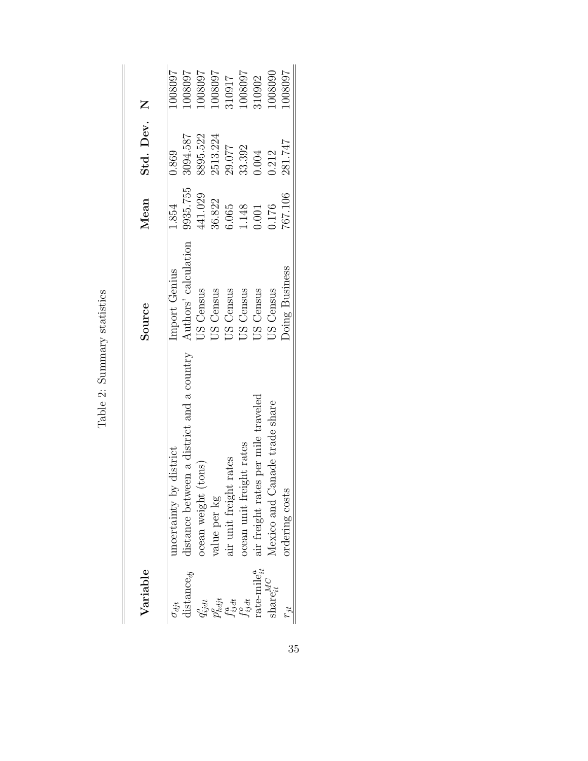| Variable                                             |                                           | Source                | Mean     | Std. Dev. N |         |
|------------------------------------------------------|-------------------------------------------|-----------------------|----------|-------------|---------|
| $\sigma_{dit}$                                       | uncertainty by district                   | Import Genius         | 1.854    | 0.869       | 1008001 |
| $\mathrm{dist}$ ance $_{dj}$                         | distance between a district and a country | Authors' calculation  | 9935.755 | 3094.587    | T60800  |
|                                                      | ocean weight (tons)                       | <b>US Census</b>      | 441.029  | 8895.522    | 760800  |
|                                                      | value per kg                              | US Census             | 36.822   | 2513.224    | T60800  |
| $q_{ijat}^o \overline{q_{ijat}^o}$                   | air unit freight rates                    | US Census             | 6.065    | 29.077      | 310917  |
|                                                      | ocean unit freight rates                  | US Census             | 1.148    | 33.392      | 760800  |
| $\mathop{\mathrm{rate\text{-}mile}}\nolimits_{it}^a$ | air freight rates per mile traveled       | US Census             | 0.001    | 1.004       | 110902  |
| $\mathrm{share}^{\mathit{MC}}_{it}$                  | Mexico and Canade trade share             | <b>JS Census</b>      | 0.176    | 0.212       | 008090  |
| i,                                                   | ordering costs                            | <b>Doing Business</b> | 767.106  | 281.747     | 760800  |

Table 2: Summary statistics Table 2: Summary statistics

35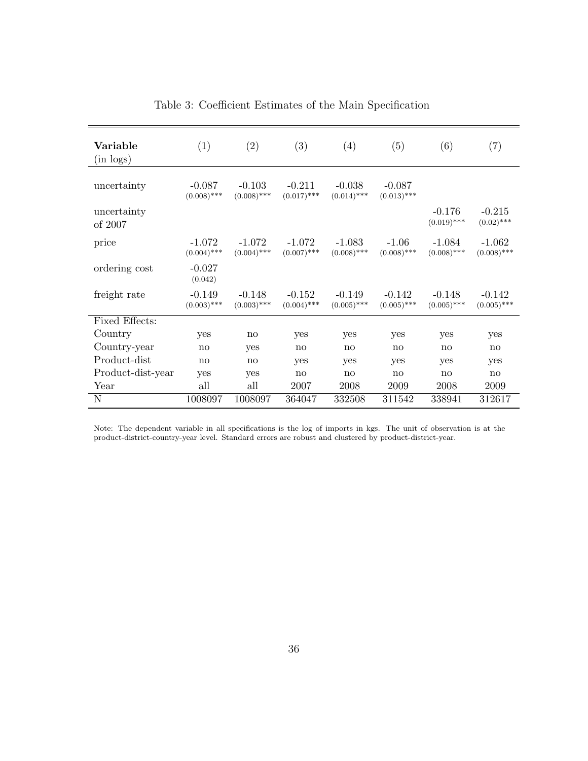| Variable<br>$(in \text{ logs})$ | (1)                       | (2)                       | (3)                       | (4)                       | (5)                       | (6)                       | (7)                       |
|---------------------------------|---------------------------|---------------------------|---------------------------|---------------------------|---------------------------|---------------------------|---------------------------|
| uncertainty                     | $-0.087$<br>$(0.008)$ *** | $-0.103$<br>$(0.008)$ *** | $-0.211$<br>$(0.017)$ *** | $-0.038$<br>$(0.014)$ *** | $-0.087$<br>$(0.013)$ *** |                           |                           |
| uncertainty<br>of 2007          |                           |                           |                           |                           |                           | $-0.176$<br>$(0.019)$ *** | $-0.215$<br>$(0.02)$ ***  |
| price                           | $-1.072$<br>$(0.004)$ *** | $-1.072$<br>$(0.004)$ *** | $-1.072$<br>$(0.007)$ *** | $-1.083$<br>$(0.008)$ *** | $-1.06$<br>$(0.008)$ ***  | $-1.084$<br>$(0.008)$ *** | $-1.062$<br>$(0.008)$ *** |
| ordering cost                   | $-0.027$<br>(0.042)       |                           |                           |                           |                           |                           |                           |
| freight rate                    | $-0.149$<br>$(0.003)$ *** | $-0.148$<br>$(0.003)$ *** | $-0.152$<br>$(0.004)$ *** | $-0.149$<br>$(0.005)$ *** | $-0.142$<br>$(0.005)$ *** | $-0.148$<br>$(0.005)$ *** | $-0.142$<br>$(0.005)$ *** |
| Fixed Effects:                  |                           |                           |                           |                           |                           |                           |                           |
| Country                         | yes                       | no                        | yes                       | yes                       | yes                       | yes                       | yes                       |
| Country-year                    | no                        | yes                       | $\mathbf{n}$              | $\mathbf{n}$              | $\mathbf{n}$              | $\mathbf{n}$              | $\mathbf{n}\mathbf{o}$    |
| Product-dist                    | no                        | $\mathbf{no}$             | yes                       | yes                       | yes                       | yes                       | yes                       |
| Product-dist-year               | yes                       | yes                       | no                        | $\mathbf{n}$              | no                        | $\mathbf{n}$              | $\mathbf{no}$             |
| Year                            | all                       | all                       | 2007                      | 2008                      | 2009                      | 2008                      | 2009                      |
| N                               | 1008097                   | 1008097                   | 364047                    | 332508                    | 311542                    | 338941                    | 312617                    |

Table 3: Coefficient Estimates of the Main Specification

Note: The dependent variable in all specifications is the log of imports in kgs. The unit of observation is at the product-district-country-year level. Standard errors are robust and clustered by product-district-year.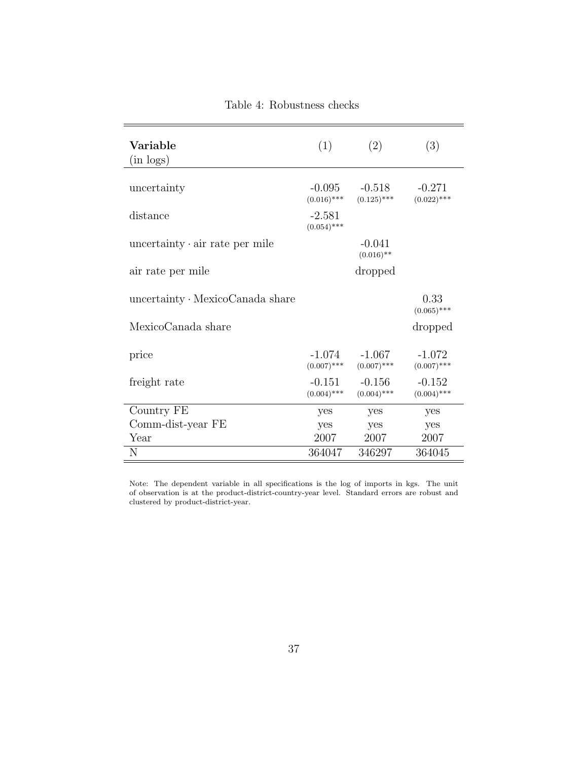| Variable<br>$(in \text{ logs})$        | (1)                       | (2)                       | (3)                       |
|----------------------------------------|---------------------------|---------------------------|---------------------------|
| uncertainty                            | $-0.095$<br>$(0.016)$ *** | $-0.518$<br>$(0.125)$ *** | $-0.271$<br>$(0.022)$ *** |
| distance                               | $-2.581$<br>$(0.054)$ *** |                           |                           |
| uncertainty $\cdot$ air rate per mile  |                           | $-0.041$<br>$(0.016)$ **  |                           |
| air rate per mile                      |                           | dropped                   |                           |
| uncertainty $\cdot$ MexicoCanada share |                           |                           | 0.33<br>$(0.065)$ ***     |
| MexicoCanada share                     |                           |                           | dropped                   |
| price                                  | -1.074<br>$(0.007)$ ***   | $-1.067$<br>$(0.007)$ *** | $-1.072$<br>$(0.007)$ *** |
| freight rate                           | $-0.151$<br>$(0.004)$ *** | $-0.156$<br>$(0.004)$ *** | $-0.152$<br>$(0.004)$ *** |
| Country FE                             | yes                       | yes                       | yes                       |
| Comm-dist-year FE                      | yes                       | yes                       | yes                       |
| Year                                   | 2007                      | 2007                      | 2007                      |
| N                                      | 364047                    | 346297                    | 364045                    |

Table 4: Robustness checks

Note: The dependent variable in all specifications is the log of imports in kgs. The unit of observation is at the product-district-country-year level. Standard errors are robust and clustered by product-district-year.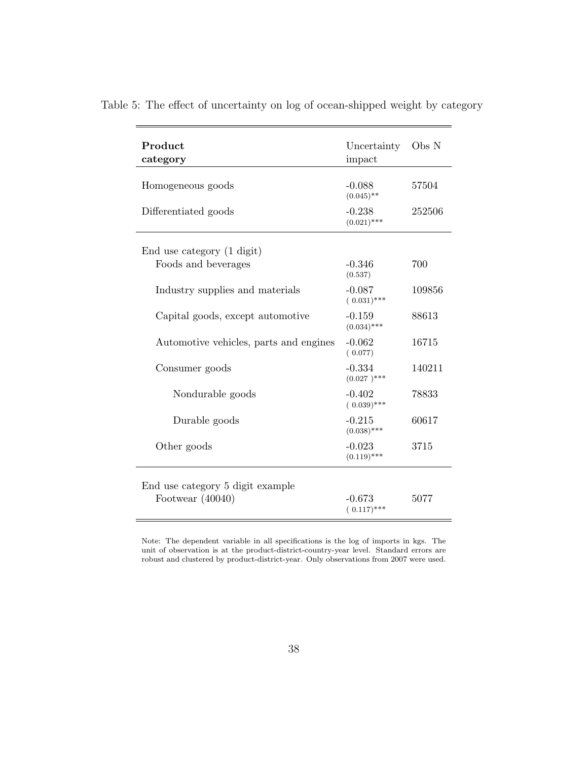| Product<br>category                    | Uncertainty<br>impact       | Obs N  |
|----------------------------------------|-----------------------------|--------|
| Homogeneous goods                      | $-0.088$<br>$(0.045)$ **    | 57504  |
| Differentiated goods                   | $-0.238$<br>$(0.021)$ ***   | 252506 |
| End use category (1 digit)             |                             |        |
| Foods and beverages                    | $-0.346$<br>(0.537)         | 700    |
| Industry supplies and materials        | $-0.087$<br>$(0.031)$ ***   | 109856 |
| Capital goods, except automotive       | $-0.159$<br>$(0.034)$ ***   | 88613  |
| Automotive vehicles, parts and engines | $-0.062$<br>(0.077)         | 16715  |
| Consumer goods                         | $-0.334$<br>$(0.027)^{***}$ | 140211 |
| Nondurable goods                       | $-0.402$<br>$(0.039)$ ***   | 78833  |
| Durable goods                          | $-0.215$<br>$(0.038)$ ***   | 60617  |
| Other goods                            | $-0.023$<br>$(0.119)$ ***   | 3715   |
| End use category 5 digit example       |                             |        |
| Footwear $(40040)$                     | $-0.673$<br>$(0.117)$ ***   | 5077   |

Table 5: The effect of uncertainty on log of ocean-shipped weight by category

Note: The dependent variable in all specifications is the log of imports in kgs. The unit of observation is at the product-district-country-year level. Standard errors are robust and clustered by product-district-year. Only observations from 2007 were used.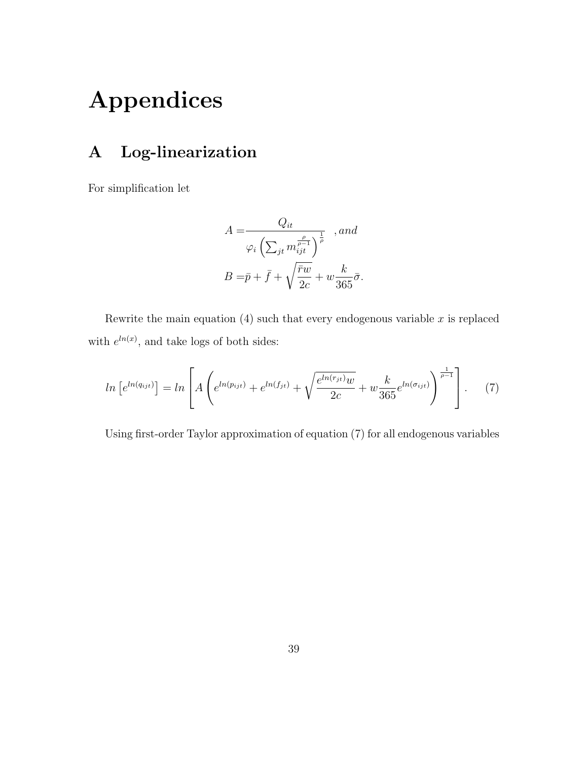# Appendices

## A Log-linearization

For simplification let

$$
A = \frac{Q_{it}}{\varphi_i \left(\sum_{jt} m_{ijt}^{\frac{\rho}{\rho-1}}\right)^{\frac{1}{\rho}}}, and
$$
  

$$
B = \bar{p} + \bar{f} + \sqrt{\frac{\bar{r}w}{2c}} + w \frac{k}{365} \bar{\sigma}.
$$

Rewrite the main equation (4) such that every endogenous variable  $x$  is replaced with  $e^{ln(x)}$ , and take logs of both sides:

$$
ln [e^{ln(q_{ij}t)}] = ln \left[ A \left( e^{ln(p_{ij}t)} + e^{ln(f_{jt})} + \sqrt{\frac{e^{ln(r_{jt})}w}{2c}} + w \frac{k}{365} e^{ln(\sigma_{ij}t)} \right)^{\frac{1}{\rho - 1}} \right].
$$
 (7)

Using first-order Taylor approximation of equation (7) for all endogenous variables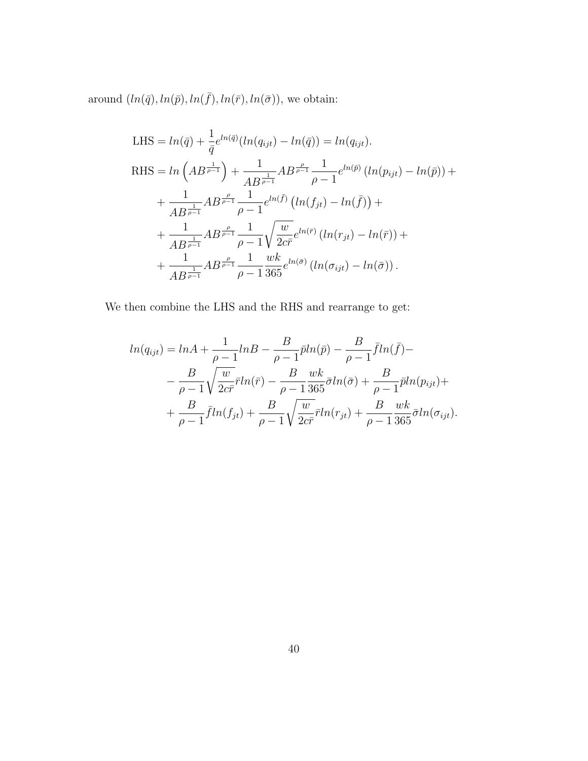around  $(ln(\bar{q}), ln(\bar{p}), ln(\bar{f}), ln(\bar{r}), ln(\bar{\sigma}))$ , we obtain:

LHS = 
$$
ln(\bar{q}) + \frac{1}{\bar{q}}e^{ln(\bar{q})}(ln(q_{ijt}) - ln(\bar{q})) = ln(q_{ijt}).
$$
  
\nRHS =  $ln(AB^{\frac{1}{p-1}}) + \frac{1}{AB^{\frac{1}{p-1}}}AB^{\frac{\rho}{p-1}}\frac{1}{\rho-1}e^{ln(\bar{p})}(ln(p_{ijt}) - ln(\bar{p})) +$   
\n $+ \frac{1}{AB^{\frac{1}{p-1}}}AB^{\frac{\rho}{p-1}}\frac{1}{\rho-1}e^{ln(\bar{f})}(ln(f_{jt}) - ln(\bar{f})) +$   
\n $+ \frac{1}{AB^{\frac{1}{p-1}}}AB^{\frac{\rho}{p-1}}\frac{1}{\rho-1}\sqrt{\frac{w}{2c\bar{r}}}e^{ln(\bar{r})}(ln(r_{jt}) - ln(\bar{r})) +$   
\n $+ \frac{1}{AB^{\frac{1}{p-1}}}AB^{\frac{\rho}{p-1}}\frac{1}{\rho-1}\frac{wk}{365}e^{ln(\bar{\sigma})}(ln(\sigma_{ijt}) - ln(\bar{\sigma})).$ 

We then combine the LHS and the RHS and rearrange to get:

$$
ln(q_{ijt}) = lnA + \frac{1}{\rho - 1}lnB - \frac{B}{\rho - 1}\bar{p}ln(\bar{p}) - \frac{B}{\rho - 1}\bar{f}ln(\bar{f}) -
$$
  

$$
- \frac{B}{\rho - 1}\sqrt{\frac{w}{2c\bar{r}}}ln(\bar{r}) - \frac{B}{\rho - 1}\frac{wk}{365}\bar{\sigma}ln(\bar{\sigma}) + \frac{B}{\rho - 1}\bar{p}ln(p_{ijt}) +
$$
  

$$
+ \frac{B}{\rho - 1}\bar{f}ln(f_{jt}) + \frac{B}{\rho - 1}\sqrt{\frac{w}{2c\bar{r}}}ln(r_{jt}) + \frac{B}{\rho - 1}\frac{wk}{365}\bar{\sigma}ln(\sigma_{ijt}).
$$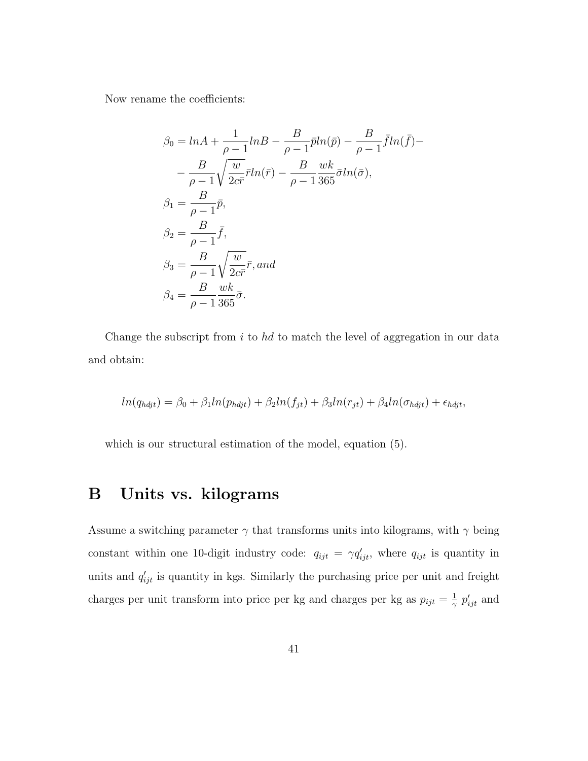Now rename the coefficients:

$$
\beta_0 = \ln A + \frac{1}{\rho - 1} \ln B - \frac{B}{\rho - 1} \bar{p} \ln(\bar{p}) - \frac{B}{\rho - 1} \bar{f} \ln(\bar{f}) -
$$
  
\n
$$
- \frac{B}{\rho - 1} \sqrt{\frac{w}{2c\bar{r}}} \bar{r} \ln(\bar{r}) - \frac{B}{\rho - 1} \frac{wk}{365} \bar{\sigma} \ln(\bar{\sigma}),
$$
  
\n
$$
\beta_1 = \frac{B}{\rho - 1} \bar{p},
$$
  
\n
$$
\beta_2 = \frac{B}{\rho - 1} \bar{f},
$$
  
\n
$$
\beta_3 = \frac{B}{\rho - 1} \sqrt{\frac{w}{2c\bar{r}}} \bar{r}, and
$$
  
\n
$$
\beta_4 = \frac{B}{\rho - 1} \frac{wk}{365} \bar{\sigma}.
$$

Change the subscript from  $i$  to  $hd$  to match the level of aggregation in our data and obtain:

$$
ln(q_{h\dot{q}j}t) = \beta_0 + \beta_1 ln(p_{h\dot{q}j}t) + \beta_2 ln(f_{jt}) + \beta_3 ln(r_{jt}) + \beta_4 ln(\sigma_{h\dot{q}j}t) + \epsilon_{h\dot{q}j}t,
$$

which is our structural estimation of the model, equation (5).

## B Units vs. kilograms

Assume a switching parameter  $\gamma$  that transforms units into kilograms, with  $\gamma$  being constant within one 10-digit industry code:  $q_{ijt} = \gamma q'_{ijt}$ , where  $q_{ijt}$  is quantity in units and  $q'_{ijt}$  is quantity in kgs. Similarly the purchasing price per unit and freight charges per unit transform into price per kg and charges per kg as  $p_{ijt} = \frac{1}{\gamma}$  $\frac{1}{\gamma}$   $p'_{ijt}$  and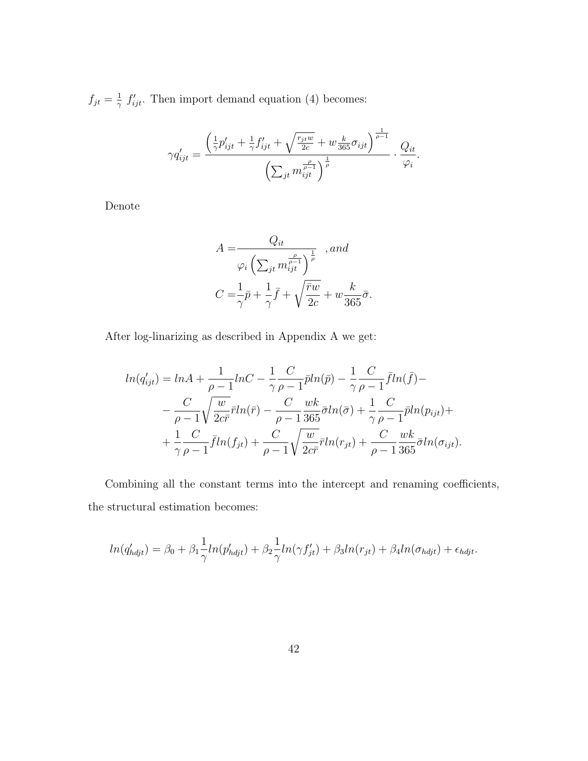$f_{jt} = \frac{1}{\gamma}$  $\frac{1}{\gamma}$   $f'_{ijt}$ . Then import demand equation (4) becomes:

$$
\gamma q'_{ijt} = \frac{\left(\frac{1}{\gamma}p'_{ijt} + \frac{1}{\gamma}f'_{ijt} + \sqrt{\frac{r_{jt}w}{2c}} + w\frac{k}{365}\sigma_{ijt}\right)^{\frac{1}{\rho-1}}}{\left(\sum_{jt} m_{ijt}^{\frac{\rho}{\rho-1}}\right)^{\frac{1}{\rho}}} \cdot \frac{Q_{it}}{\varphi_i}.
$$

Denote

$$
A = \frac{Q_{it}}{\varphi_i \left(\sum_{jt} m_{ijt}^{\frac{\rho}{\rho - 1}}\right)^{\frac{1}{\rho}}}, and
$$
  

$$
C = \frac{1}{\gamma} \bar{p} + \frac{1}{\gamma} \bar{f} + \sqrt{\frac{\bar{r}w}{2c}} + w \frac{k}{365} \bar{\sigma}.
$$

After log-linarizing as described in Appendix A we get:

$$
ln(q'_{ijt}) = lnA + \frac{1}{\rho - 1}lnC - \frac{1}{\gamma} \frac{C}{\rho - 1} \bar{p}ln(\bar{p}) - \frac{1}{\gamma} \frac{C}{\rho - 1} \bar{f}ln(\bar{f}) -
$$
  

$$
- \frac{C}{\rho - 1} \sqrt{\frac{w}{2c\bar{r}}} \bar{r}ln(\bar{r}) - \frac{C}{\rho - 1} \frac{wk}{365} \bar{\sigma}ln(\bar{\sigma}) + \frac{1}{\gamma} \frac{C}{\rho - 1} \bar{p}ln(p_{ijt}) +
$$
  

$$
+ \frac{1}{\gamma} \frac{C}{\rho - 1} \bar{f}ln(f_{jt}) + \frac{C}{\rho - 1} \sqrt{\frac{w}{2c\bar{r}}} \bar{r}ln(r_{jt}) + \frac{C}{\rho - 1} \frac{wk}{365} \bar{\sigma}ln(\sigma_{ijt}).
$$

Combining all the constant terms into the intercept and renaming coefficients, the structural estimation becomes:

$$
ln(q'_{h\dot{q}j}t) = \beta_0 + \beta_1 \frac{1}{\gamma} ln(p'_{h\dot{q}j}t) + \beta_2 \frac{1}{\gamma} ln(\gamma f'_{jt}) + \beta_3 ln(r_{jt}) + \beta_4 ln(\sigma_{h\dot{q}j}t) + \epsilon_{h\dot{q}j}t.
$$